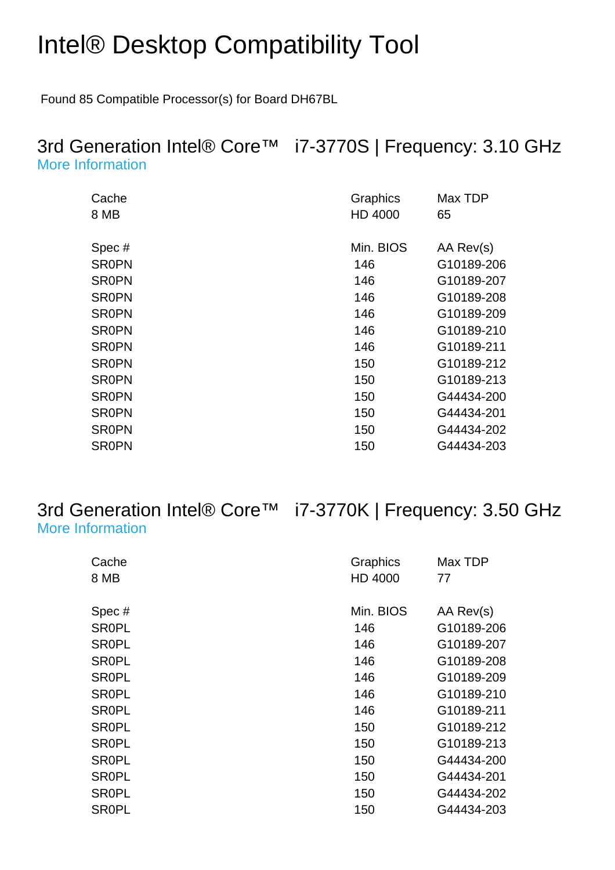## Intel® Desktop Compatibility Tool

Found 85 Compatible Processor(s) for Board DH67BL

#### 3rd Generation Intel® Core™ i7-3770S | Frequency: 3.10 GHz [More Information](http://ark.intel.com/Product.aspx?spec=SR0PN)

| Cache<br>8 MB | Graphics<br>HD 4000 | Max TDP<br>65 |
|---------------|---------------------|---------------|
|               | Min. BIOS           |               |
| Spec#         |                     | AA Rev(s)     |
| <b>SR0PN</b>  | 146                 | G10189-206    |
| <b>SR0PN</b>  | 146                 | G10189-207    |
| <b>SR0PN</b>  | 146                 | G10189-208    |
| <b>SR0PN</b>  | 146                 | G10189-209    |
| <b>SR0PN</b>  | 146                 | G10189-210    |
| <b>SR0PN</b>  | 146                 | G10189-211    |
| <b>SR0PN</b>  | 150                 | G10189-212    |
| <b>SR0PN</b>  | 150                 | G10189-213    |
| <b>SR0PN</b>  | 150                 | G44434-200    |
| <b>SR0PN</b>  | 150                 | G44434-201    |
| <b>SR0PN</b>  | 150                 | G44434-202    |
| <b>SR0PN</b>  | 150                 | G44434-203    |

#### 3rd Generation Intel® Core™ i7-3770K | Frequency: 3.50 GHz [More Information](http://ark.intel.com/Product.aspx?spec=SR0PL)

| Cache        | Graphics  | Max TDP    |
|--------------|-----------|------------|
| 8 MB         | HD 4000   | 77         |
|              |           |            |
| Spec#        | Min. BIOS | AA Rev(s)  |
| <b>SR0PL</b> | 146       | G10189-206 |
| <b>SR0PL</b> | 146       | G10189-207 |
| <b>SROPL</b> | 146       | G10189-208 |
| <b>SROPL</b> | 146       | G10189-209 |
| <b>SROPL</b> | 146       | G10189-210 |
| <b>SROPL</b> | 146       | G10189-211 |
| <b>SROPL</b> | 150       | G10189-212 |
| <b>SROPL</b> | 150       | G10189-213 |
| <b>SROPL</b> | 150       | G44434-200 |
| <b>SROPL</b> | 150       | G44434-201 |
| <b>SR0PL</b> | 150       | G44434-202 |
| <b>SR0PL</b> | 150       | G44434-203 |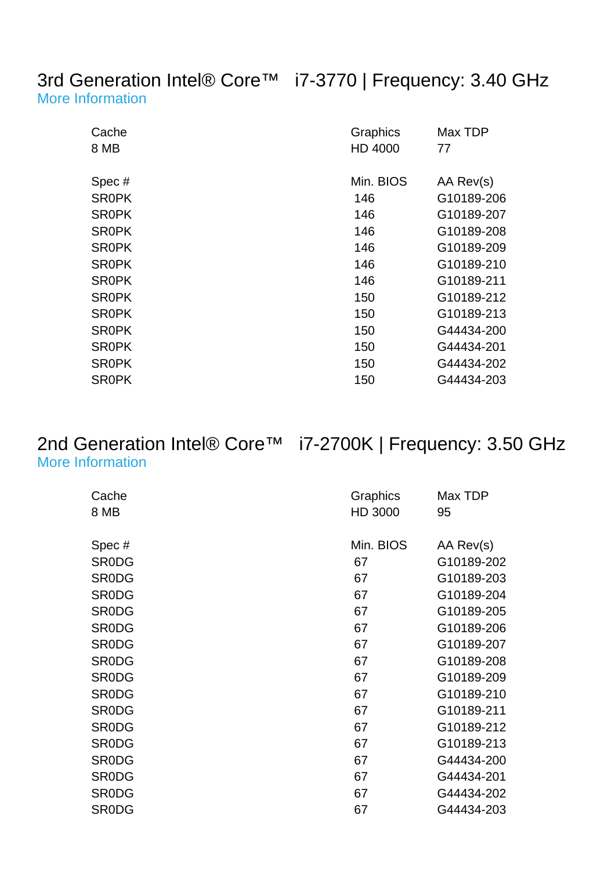#### 3rd Generation Intel® Core™ i7-3770 | Frequency: 3.40 GHz [More Information](http://ark.intel.com/Product.aspx?spec=SR0PK)

| Cache<br>8 MB | Graphics<br>HD 4000 | Max TDP<br>77 |
|---------------|---------------------|---------------|
| Spec#         | Min. BIOS           | AA Rev(s)     |
| <b>SROPK</b>  | 146                 | G10189-206    |
| <b>SROPK</b>  | 146                 | G10189-207    |
| <b>SROPK</b>  | 146                 | G10189-208    |
| <b>SROPK</b>  | 146                 | G10189-209    |
| <b>SROPK</b>  | 146                 | G10189-210    |
| <b>SROPK</b>  | 146                 | G10189-211    |
| <b>SROPK</b>  | 150                 | G10189-212    |
| <b>SROPK</b>  | 150                 | G10189-213    |
| <b>SROPK</b>  | 150                 | G44434-200    |
| <b>SROPK</b>  | 150                 | G44434-201    |
| <b>SROPK</b>  | 150                 | G44434-202    |
| <b>SROPK</b>  | 150                 | G44434-203    |

#### 2nd Generation Intel® Core™ i7-2700K | Frequency: 3.50 GHz [More Information](http://ark.intel.com/Product.aspx?spec=SR0DG)

| Cache<br>8 MB | Graphics<br>HD 3000 | Max TDP<br>95 |
|---------------|---------------------|---------------|
| Spec#         | Min. BIOS           | AA Rev(s)     |
| <b>SRODG</b>  | 67                  | G10189-202    |
| <b>SRODG</b>  | 67                  | G10189-203    |
| <b>SRODG</b>  | 67                  | G10189-204    |
| <b>SRODG</b>  | 67                  | G10189-205    |
| <b>SRODG</b>  | 67                  | G10189-206    |
| <b>SRODG</b>  | 67                  | G10189-207    |
| <b>SRODG</b>  | 67                  | G10189-208    |
| <b>SRODG</b>  | 67                  | G10189-209    |
| <b>SRODG</b>  | 67                  | G10189-210    |
| <b>SRODG</b>  | 67                  | G10189-211    |
| <b>SRODG</b>  | 67                  | G10189-212    |
| <b>SRODG</b>  | 67                  | G10189-213    |
| <b>SRODG</b>  | 67                  | G44434-200    |
| <b>SRODG</b>  | 67                  | G44434-201    |
| <b>SRODG</b>  | 67                  | G44434-202    |
| <b>SRODG</b>  | 67                  | G44434-203    |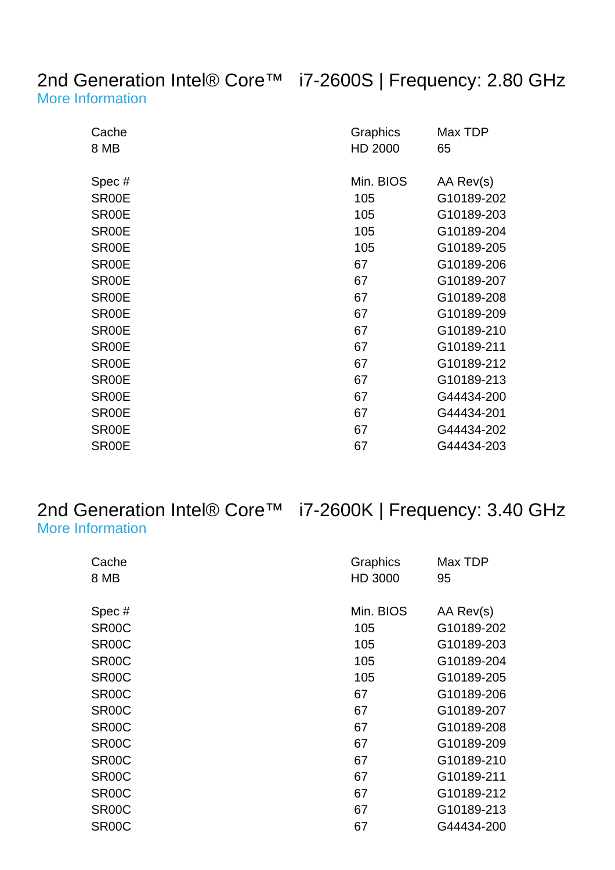#### 2nd Generation Intel® Core™ i7-2600S | Frequency: 2.80 GHz [More Information](http://ark.intel.com/Product.aspx?spec=SR00E)

| Cache<br>8 MB      | Graphics<br>HD 2000 | Max TDP<br>65 |
|--------------------|---------------------|---------------|
| Spec#              | Min. BIOS           | AA Rev(s)     |
| SR00E              | 105                 | G10189-202    |
| SR00E              | 105                 | G10189-203    |
| SR00E              | 105                 | G10189-204    |
| SR <sub>00</sub> E | 105                 | G10189-205    |
| SR00E              | 67                  | G10189-206    |
| SR00E              | 67                  | G10189-207    |
| SR00E              | 67                  | G10189-208    |
| SR00E              | 67                  | G10189-209    |
| SR00E              | 67                  | G10189-210    |
| SR00E              | 67                  | G10189-211    |
| SR <sub>00</sub> E | 67                  | G10189-212    |
| SR <sub>00</sub> E | 67                  | G10189-213    |
| SR00E              | 67                  | G44434-200    |
| SR00E              | 67                  | G44434-201    |
| SR <sub>00</sub> E | 67                  | G44434-202    |
| SR <sub>00</sub> E | 67                  | G44434-203    |

#### 2nd Generation Intel® Core™ i7-2600K | Frequency: 3.40 GHz [More Information](http://ark.intel.com/Product.aspx?spec=SR00C)

| Cache              | Graphics  | Max TDP    |
|--------------------|-----------|------------|
| 8 MB               | HD 3000   | 95         |
| Spec#              | Min. BIOS | AA Rev(s)  |
| SR <sub>00</sub> C | 105       | G10189-202 |
| SR <sub>00</sub> C | 105       | G10189-203 |
| SR <sub>00</sub> C | 105       | G10189-204 |
| SR <sub>00</sub> C | 105       | G10189-205 |
| SR <sub>00</sub> C | 67        | G10189-206 |
| SR <sub>00</sub> C | 67        | G10189-207 |
| SR <sub>00</sub> C | 67        | G10189-208 |
| SR <sub>00</sub> C | 67        | G10189-209 |
| SR <sub>00</sub> C | 67        | G10189-210 |
| SR <sub>00</sub> C | 67        | G10189-211 |
| SR <sub>00</sub> C | 67        | G10189-212 |
| SR <sub>00</sub> C | 67        | G10189-213 |
| SR <sub>00</sub> C | 67        | G44434-200 |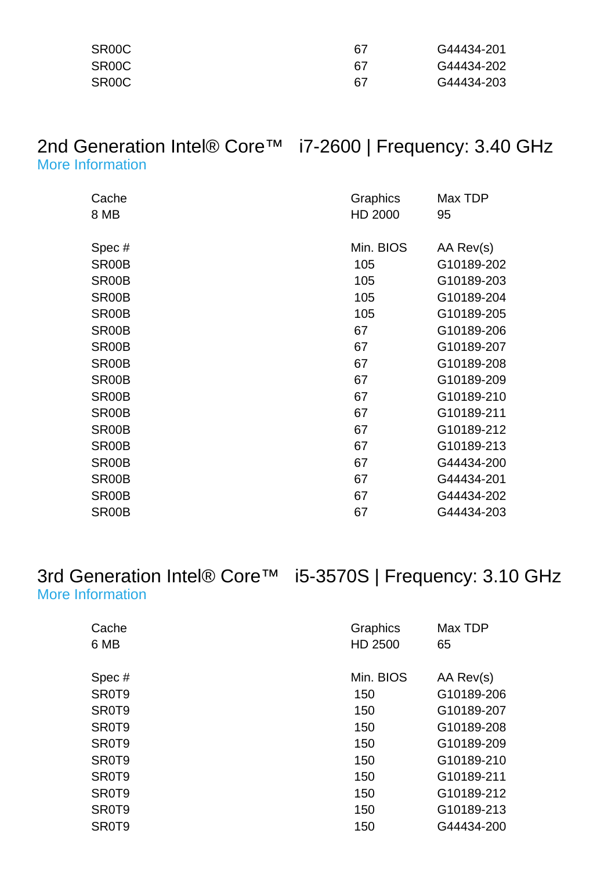| SR00C | 67  | G44434-201 |
|-------|-----|------------|
| SR00C | -67 | G44434-202 |
| SR00C | 67  | G44434-203 |

#### 2nd Generation Intel® Core™ i7-2600 | Frequency: 3.40 GHz [More Information](http://ark.intel.com/Product.aspx?spec=SR00B)

| Cache<br>8 MB      | Graphics<br>HD 2000 | Max TDP<br>95 |
|--------------------|---------------------|---------------|
| Spec#              | Min. BIOS           | AA Rev(s)     |
| SR <sub>00</sub> B | 105                 | G10189-202    |
| SR <sub>00</sub> B | 105                 | G10189-203    |
| SR00B              | 105                 | G10189-204    |
| SR00B              | 105                 | G10189-205    |
| SR <sub>00</sub> B | 67                  | G10189-206    |
| SR <sub>00</sub> B | 67                  | G10189-207    |
| SR <sub>00</sub> B | 67                  | G10189-208    |
| SR <sub>00</sub> B | 67                  | G10189-209    |
| SR <sub>00</sub> B | 67                  | G10189-210    |
| SR <sub>00</sub> B | 67                  | G10189-211    |
| SR00B              | 67                  | G10189-212    |
| SR <sub>00</sub> B | 67                  | G10189-213    |
| SR <sub>00</sub> B | 67                  | G44434-200    |
| SR <sub>00</sub> B | 67                  | G44434-201    |
| SR00B              | 67                  | G44434-202    |
| SR <sub>00</sub> B | 67                  | G44434-203    |

#### 3rd Generation Intel® Core™ i5-3570S | Frequency: 3.10 GHz [More Information](http://ark.intel.com/Product.aspx?spec=SR0T9)

| Cache<br>6 MB | Graphics<br>HD 2500 | Max TDP<br>65 |
|---------------|---------------------|---------------|
| Spec#         | Min. BIOS           | AA Rev(s)     |
| SR0T9         | 150                 | G10189-206    |
| SR0T9         | 150                 | G10189-207    |
| SR0T9         | 150                 | G10189-208    |
| SR0T9         | 150                 | G10189-209    |
| SR0T9         | 150                 | G10189-210    |
| SR0T9         | 150                 | G10189-211    |
| SR0T9         | 150                 | G10189-212    |
| SR0T9         | 150                 | G10189-213    |
| SR0T9         | 150                 | G44434-200    |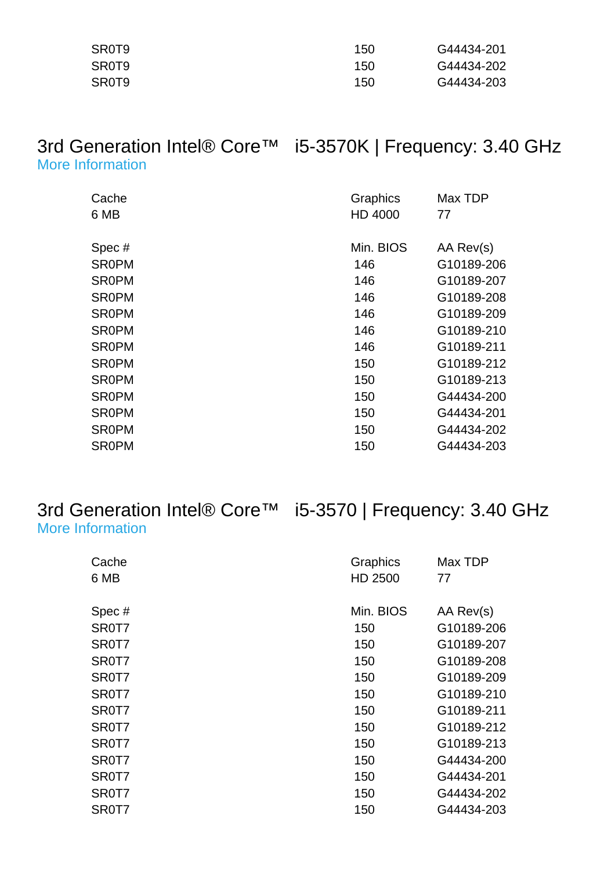| SR0T9 | 150 | G44434-201 |
|-------|-----|------------|
| SR0T9 | 150 | G44434-202 |
| SR0T9 | 150 | G44434-203 |

#### 3rd Generation Intel® Core™ i5-3570K | Frequency: 3.40 GHz [More Information](http://ark.intel.com/Product.aspx?spec=SR0PM)

| Cache        | Graphics  | Max TDP    |
|--------------|-----------|------------|
| 6 MB         | HD 4000   | 77         |
|              |           |            |
| Spec#        | Min. BIOS | AA Rev(s)  |
| <b>SR0PM</b> | 146       | G10189-206 |
| <b>SR0PM</b> | 146       | G10189-207 |
| <b>SR0PM</b> | 146       | G10189-208 |
| <b>SR0PM</b> | 146       | G10189-209 |
| <b>SR0PM</b> | 146       | G10189-210 |
| <b>SR0PM</b> | 146       | G10189-211 |
| <b>SR0PM</b> | 150       | G10189-212 |
| <b>SR0PM</b> | 150       | G10189-213 |
| <b>SR0PM</b> | 150       | G44434-200 |
| <b>SR0PM</b> | 150       | G44434-201 |
| <b>SR0PM</b> | 150       | G44434-202 |
| <b>SR0PM</b> | 150       | G44434-203 |

#### 3rd Generation Intel® Core™ i5-3570 | Frequency: 3.40 GHz [More Information](http://ark.intel.com/Product.aspx?spec=SR0T7)

| Cache | Graphics  | Max TDP    |
|-------|-----------|------------|
| 6 MB  | HD 2500   | 77         |
|       |           |            |
| Spec# | Min. BIOS | AA Rev(s)  |
| SR0T7 | 150       | G10189-206 |
| SR0T7 | 150       | G10189-207 |
| SR0T7 | 150       | G10189-208 |
| SR0T7 | 150       | G10189-209 |
| SR0T7 | 150       | G10189-210 |
| SR0T7 | 150       | G10189-211 |
| SR0T7 | 150       | G10189-212 |
| SR0T7 | 150       | G10189-213 |
| SR0T7 | 150       | G44434-200 |
| SR0T7 | 150       | G44434-201 |
| SR0T7 | 150       | G44434-202 |
| SR0T7 | 150       | G44434-203 |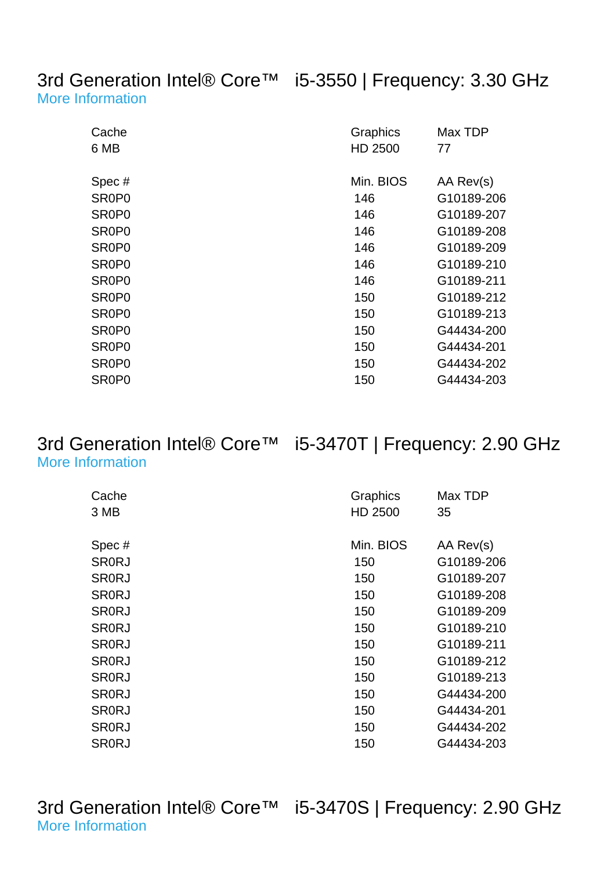3rd Generation Intel® Core™ i5-3550 | Frequency: 3.30 GHz [More Information](http://ark.intel.com/Product.aspx?spec=SR0P0)

| Cache<br>6 MB                  | Graphics<br>HD 2500 | Max TDP<br>77 |
|--------------------------------|---------------------|---------------|
| Spec#                          | Min. BIOS           | AA Rev(s)     |
| SR <sub>0</sub> P <sub>0</sub> | 146                 | G10189-206    |
| SR <sub>0</sub> P <sub>0</sub> | 146                 | G10189-207    |
| SR <sub>0</sub> P <sub>0</sub> | 146                 | G10189-208    |
| SR <sub>0</sub> P <sub>0</sub> | 146                 | G10189-209    |
| SR <sub>0</sub> P <sub>0</sub> | 146                 | G10189-210    |
| SR <sub>0</sub> P <sub>0</sub> | 146                 | G10189-211    |
| SR <sub>0</sub> P <sub>0</sub> | 150                 | G10189-212    |
| SR <sub>0</sub> P <sub>0</sub> | 150                 | G10189-213    |
| SR <sub>0</sub> P <sub>0</sub> | 150                 | G44434-200    |
| SR <sub>0</sub> P <sub>0</sub> | 150                 | G44434-201    |
| SR <sub>0</sub> P <sub>0</sub> | 150                 | G44434-202    |
| SR <sub>0</sub> P <sub>0</sub> | 150                 | G44434-203    |

#### 3rd Generation Intel® Core™ i5-3470T | Frequency: 2.90 GHz [More Information](http://ark.intel.com/Product.aspx?spec=SR0RJ)

| Cache        | Graphics  | Max TDP    |
|--------------|-----------|------------|
| 3 MB         | HD 2500   | 35         |
|              |           |            |
| Spec#        | Min. BIOS | AA Rev(s)  |
| <b>SR0RJ</b> | 150       | G10189-206 |
| <b>SRORJ</b> | 150       | G10189-207 |
| <b>SRORJ</b> | 150       | G10189-208 |
| <b>SRORJ</b> | 150       | G10189-209 |
| <b>SR0RJ</b> | 150       | G10189-210 |
| <b>SR0RJ</b> | 150       | G10189-211 |
| <b>SR0RJ</b> | 150       | G10189-212 |
| <b>SR0RJ</b> | 150       | G10189-213 |
| <b>SR0RJ</b> | 150       | G44434-200 |
| <b>SR0RJ</b> | 150       | G44434-201 |
| <b>SR0RJ</b> | 150       | G44434-202 |
| <b>SRORJ</b> | 150       | G44434-203 |

3rd Generation Intel® Core™ i5-3470S | Frequency: 2.90 GHz [More Information](http://ark.intel.com/Product.aspx?spec=SR0TA)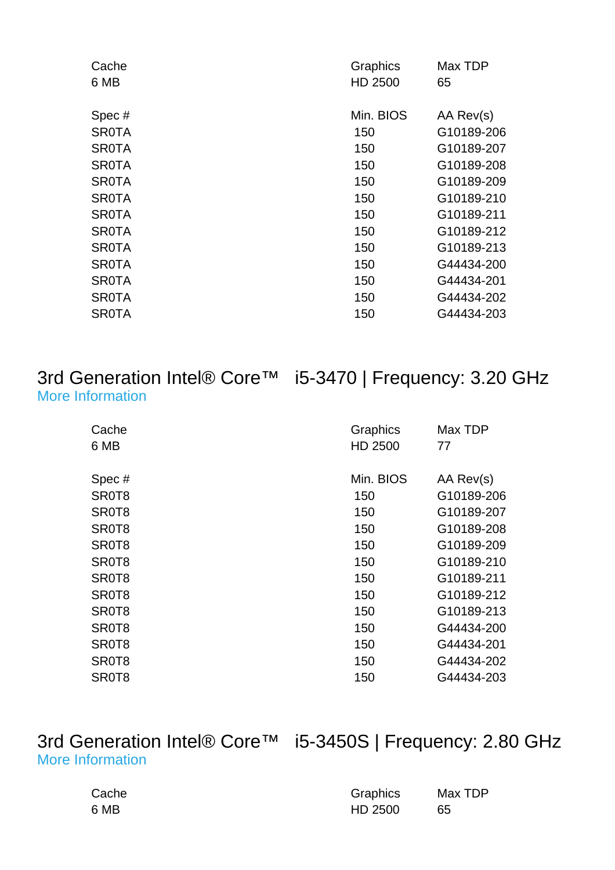| Cache        | Graphics  | Max TDP    |
|--------------|-----------|------------|
| 6 MB         | HD 2500   | 65         |
|              |           |            |
| Spec#        | Min. BIOS | AA Rev(s)  |
| <b>SR0TA</b> | 150       | G10189-206 |
| <b>SR0TA</b> | 150       | G10189-207 |
| <b>SR0TA</b> | 150       | G10189-208 |
| <b>SR0TA</b> | 150       | G10189-209 |
| <b>SR0TA</b> | 150       | G10189-210 |
| <b>SR0TA</b> | 150       | G10189-211 |
| <b>SR0TA</b> | 150       | G10189-212 |
| <b>SR0TA</b> | 150       | G10189-213 |
| <b>SR0TA</b> | 150       | G44434-200 |
| <b>SR0TA</b> | 150       | G44434-201 |
| <b>SR0TA</b> | 150       | G44434-202 |
| <b>SR0TA</b> | 150       | G44434-203 |
|              |           |            |

#### 3rd Generation Intel® Core™ i5-3470 | Frequency: 3.20 GHz [More Information](http://ark.intel.com/Product.aspx?spec=SR0T8)

| Cache | Graphics  | Max TDP    |
|-------|-----------|------------|
| 6 MB  | HD 2500   | 77         |
| Spec# | Min. BIOS | AA Rev(s)  |
| SR0T8 | 150       | G10189-206 |
| SR0T8 | 150       | G10189-207 |
| SR0T8 | 150       | G10189-208 |
| SR0T8 | 150       | G10189-209 |
| SR0T8 | 150       | G10189-210 |
| SR0T8 | 150       | G10189-211 |
| SR0T8 | 150       | G10189-212 |
| SR0T8 | 150       | G10189-213 |
| SR0T8 | 150       | G44434-200 |
| SR0T8 | 150       | G44434-201 |
| SR0T8 | 150       | G44434-202 |
| SR0T8 | 150       | G44434-203 |

3rd Generation Intel® Core™ i5-3450S | Frequency: 2.80 GHz [More Information](http://ark.intel.com/Product.aspx?spec=SR0P2)

| Cache | Graphics | Max TDP |
|-------|----------|---------|
| 6 MB  | HD 2500  | 65      |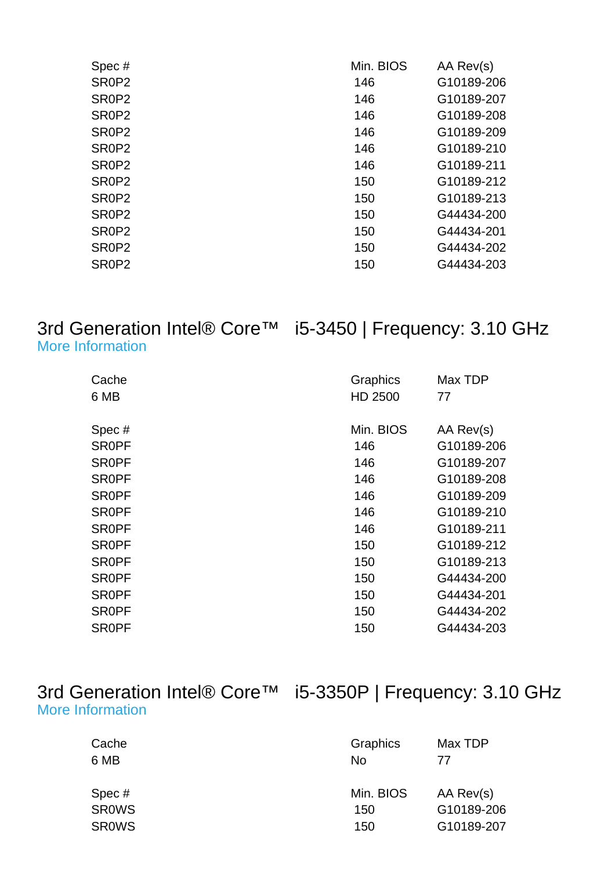| Spec#                          | Min. BIOS | AA Rev(s)  |
|--------------------------------|-----------|------------|
| SR <sub>0</sub> P <sub>2</sub> | 146       | G10189-206 |
| SR <sub>0</sub> P <sub>2</sub> | 146       | G10189-207 |
| SR <sub>0</sub> P <sub>2</sub> | 146       | G10189-208 |
| SR <sub>0</sub> P <sub>2</sub> | 146       | G10189-209 |
| SR <sub>0</sub> P <sub>2</sub> | 146       | G10189-210 |
| SR <sub>0</sub> P <sub>2</sub> | 146       | G10189-211 |
| SR <sub>0</sub> P <sub>2</sub> | 150       | G10189-212 |
| SR <sub>0</sub> P <sub>2</sub> | 150       | G10189-213 |
| SR <sub>0</sub> P <sub>2</sub> | 150       | G44434-200 |
| SR <sub>0</sub> P <sub>2</sub> | 150       | G44434-201 |
| SR <sub>0</sub> P <sub>2</sub> | 150       | G44434-202 |
| SR <sub>0</sub> P <sub>2</sub> | 150       | G44434-203 |
|                                |           |            |

#### 3rd Generation Intel® Core™ i5-3450 | Frequency: 3.10 GHz [More Information](http://ark.intel.com/Product.aspx?spec=SR0PF)

| Cache        | Graphics  | Max TDP    |
|--------------|-----------|------------|
| 6 MB         | HD 2500   | 77         |
| Spec#        | Min. BIOS | AA Rev(s)  |
| <b>SROPF</b> | 146       | G10189-206 |
| <b>SROPF</b> | 146       | G10189-207 |
| <b>SROPF</b> | 146       | G10189-208 |
| <b>SR0PF</b> | 146       | G10189-209 |
| <b>SROPF</b> | 146       | G10189-210 |
| <b>SROPF</b> | 146       | G10189-211 |
| <b>SROPF</b> | 150       | G10189-212 |
| <b>SROPF</b> | 150       | G10189-213 |
| <b>SROPF</b> | 150       | G44434-200 |
| <b>SROPF</b> | 150       | G44434-201 |
| <b>SROPF</b> | 150       | G44434-202 |
| <b>SR0PF</b> | 150       | G44434-203 |

| 3rd Generation Intel® Core™ i5-3350P   Frequency: 3.10 GHz |  |
|------------------------------------------------------------|--|
| More Information                                           |  |

| Cache<br>6 MB | Graphics<br>No | Max TDP<br>77 |
|---------------|----------------|---------------|
| Spec#         | Min. BIOS      | AA Rev(s)     |
| <b>SROWS</b>  | 150            | G10189-206    |
| <b>SROWS</b>  | 150            | G10189-207    |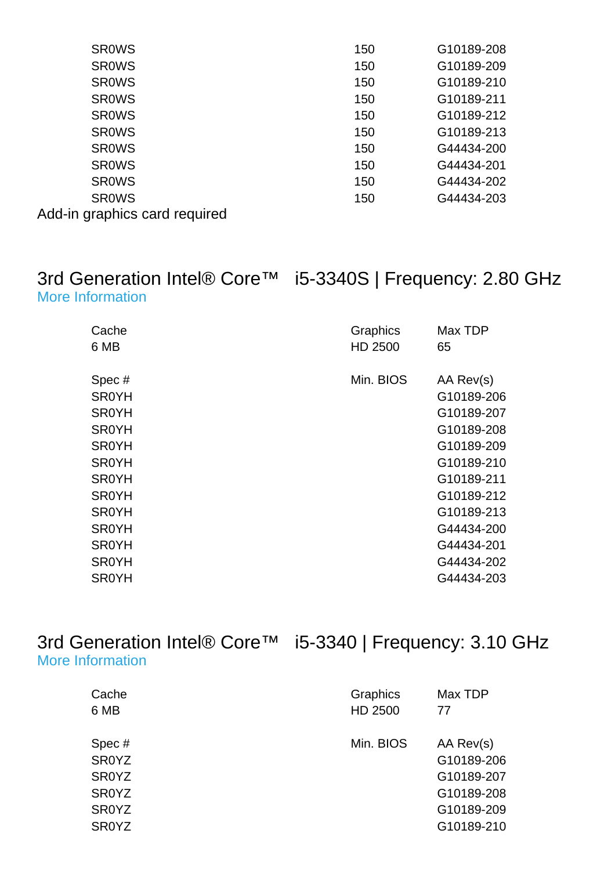| <b>SROWS</b>                  | 150 | G10189-208 |
|-------------------------------|-----|------------|
| <b>SROWS</b>                  | 150 | G10189-209 |
| <b>SROWS</b>                  | 150 | G10189-210 |
| <b>SROWS</b>                  | 150 | G10189-211 |
| <b>SROWS</b>                  | 150 | G10189-212 |
| <b>SROWS</b>                  | 150 | G10189-213 |
| <b>SROWS</b>                  | 150 | G44434-200 |
| <b>SROWS</b>                  | 150 | G44434-201 |
| <b>SROWS</b>                  | 150 | G44434-202 |
| <b>SROWS</b>                  | 150 | G44434-203 |
| Add-in graphics card required |     |            |

#### 3rd Generation Intel® Core™ i5-3340S | Frequency: 2.80 GHz [More Information](http://ark.intel.com/Product.aspx?spec=SR0YH)

| Cache<br>6 MB                                                                                                                         | Graphics<br>HD 2500 | Max TDP<br>65                                                                                                             |
|---------------------------------------------------------------------------------------------------------------------------------------|---------------------|---------------------------------------------------------------------------------------------------------------------------|
| Spec#<br><b>SR0YH</b><br><b>SR0YH</b><br><b>SR0YH</b><br><b>SR0YH</b><br><b>SR0YH</b><br><b>SR0YH</b><br><b>SR0YH</b><br><b>SR0YH</b> | Min. BIOS           | AA Rev(s)<br>G10189-206<br>G10189-207<br>G10189-208<br>G10189-209<br>G10189-210<br>G10189-211<br>G10189-212<br>G10189-213 |
| <b>SR0YH</b>                                                                                                                          |                     | G44434-200                                                                                                                |
| <b>SR0YH</b>                                                                                                                          |                     | G44434-201                                                                                                                |
| <b>SR0YH</b>                                                                                                                          |                     | G44434-202                                                                                                                |
| <b>SR0YH</b>                                                                                                                          |                     | G44434-203                                                                                                                |

3rd Generation Intel® Core™ i5-3340 | Frequency: 3.10 GHz [More Information](http://ark.intel.com/Product.aspx?spec=SR0YZ)

|           | Max TDP    |
|-----------|------------|
| HD 2500   | 77         |
| Min. BIOS | AA Rev(s)  |
|           | G10189-206 |
|           | G10189-207 |
|           | G10189-208 |
|           | G10189-209 |
|           | G10189-210 |
|           | Graphics   |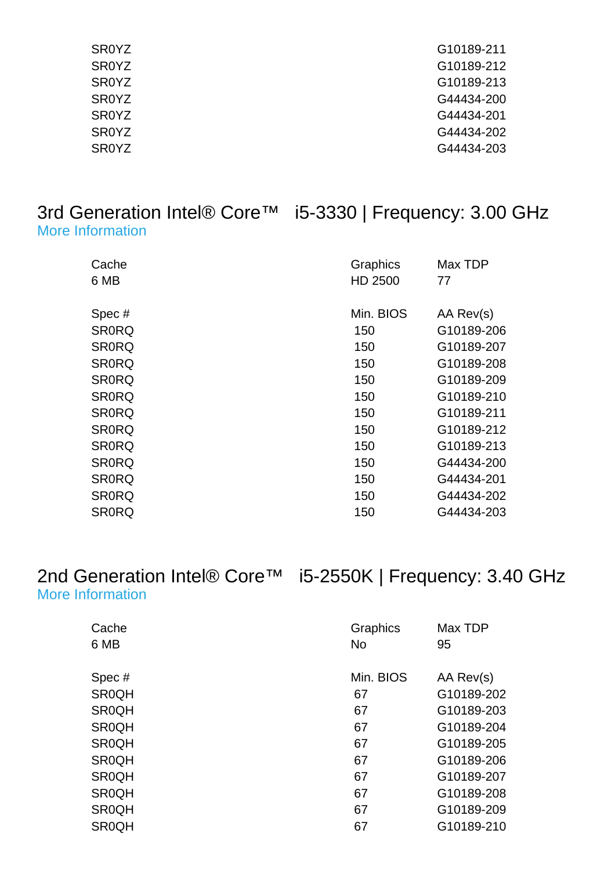| SR <sub>0</sub> YZ | G10189-211 |
|--------------------|------------|
| <b>SROYZ</b>       | G10189-212 |
| <b>SROYZ</b>       | G10189-213 |
| <b>SROYZ</b>       | G44434-200 |
| <b>SROYZ</b>       | G44434-201 |
| <b>SROYZ</b>       | G44434-202 |
| <b>SROYZ</b>       | G44434-203 |

#### 3rd Generation Intel® Core™ i5-3330 | Frequency: 3.00 GHz [More Information](http://ark.intel.com/Product.aspx?spec=SR0RQ)

| Cache<br>6 MB | Graphics<br>HD 2500 | Max TDP<br>77 |
|---------------|---------------------|---------------|
| Spec#         | Min. BIOS           | AA Rev(s)     |
| <b>SR0RQ</b>  | 150                 | G10189-206    |
| <b>SR0RQ</b>  | 150                 | G10189-207    |
| <b>SR0RQ</b>  | 150                 | G10189-208    |
| <b>SR0RQ</b>  | 150                 | G10189-209    |
| <b>SR0RQ</b>  | 150                 | G10189-210    |
| <b>SR0RQ</b>  | 150                 | G10189-211    |
| <b>SR0RQ</b>  | 150                 | G10189-212    |
| <b>SR0RQ</b>  | 150                 | G10189-213    |
| <b>SR0RQ</b>  | 150                 | G44434-200    |
| <b>SR0RQ</b>  | 150                 | G44434-201    |
| <b>SR0RQ</b>  | 150                 | G44434-202    |
| <b>SR0RQ</b>  | 150                 | G44434-203    |

#### 2nd Generation Intel® Core™ i5-2550K | Frequency: 3.40 GHz [More Information](http://ark.intel.com/Product.aspx?spec=SR0QH)

| Cache<br>6 MB | Graphics<br><b>No</b> | Max TDP<br>95 |
|---------------|-----------------------|---------------|
|               |                       |               |
| Spec#         | Min. BIOS             | AA Rev(s)     |
| <b>SR0QH</b>  | 67                    | G10189-202    |
| <b>SR0QH</b>  | 67                    | G10189-203    |
| <b>SR0QH</b>  | 67                    | G10189-204    |
| <b>SR0QH</b>  | 67                    | G10189-205    |
| <b>SR0QH</b>  | 67                    | G10189-206    |
| <b>SR0QH</b>  | 67                    | G10189-207    |
| <b>SR0QH</b>  | 67                    | G10189-208    |
| <b>SR0QH</b>  | 67                    | G10189-209    |
| <b>SR0QH</b>  | 67                    | G10189-210    |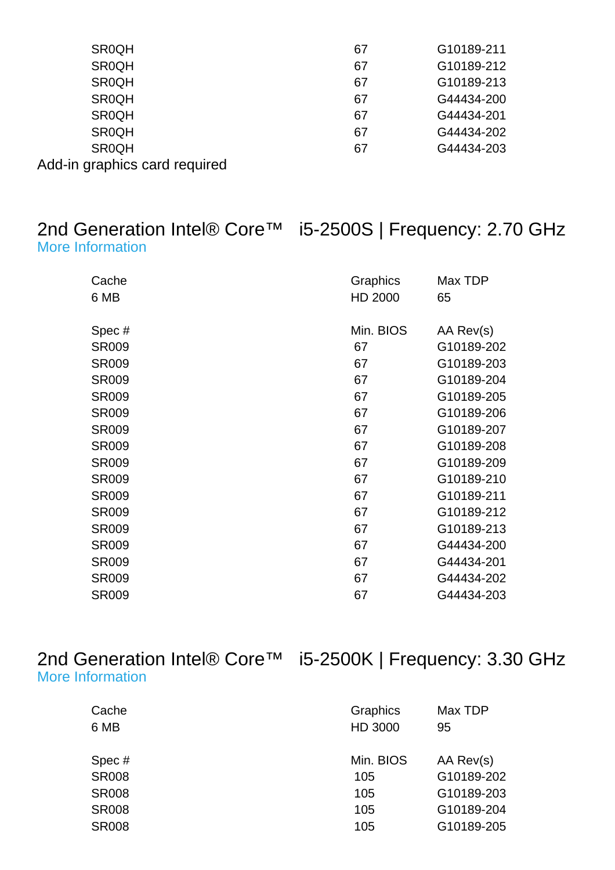| <b>SR0QH</b>                  | 67 | G10189-211 |
|-------------------------------|----|------------|
| <b>SR0QH</b>                  | 67 | G10189-212 |
| <b>SR0QH</b>                  | 67 | G10189-213 |
| <b>SR0QH</b>                  | 67 | G44434-200 |
| <b>SR0QH</b>                  | 67 | G44434-201 |
| <b>SR0QH</b>                  | 67 | G44434-202 |
| <b>SR0QH</b>                  | 67 | G44434-203 |
| Add-in graphics card required |    |            |

#### 2nd Generation Intel® Core™ i5-2500S | Frequency: 2.70 GHz [More Information](http://ark.intel.com/Product.aspx?spec=SR009)

| Cache<br>6 MB | Graphics<br>HD 2000 | Max TDP<br>65 |
|---------------|---------------------|---------------|
| Spec#         | Min. BIOS           | AA Rev(s)     |
| <b>SR009</b>  | 67                  | G10189-202    |
| <b>SR009</b>  | 67                  | G10189-203    |
| <b>SR009</b>  | 67                  | G10189-204    |
| <b>SR009</b>  | 67                  | G10189-205    |
| <b>SR009</b>  | 67                  | G10189-206    |
| <b>SR009</b>  | 67                  | G10189-207    |
| <b>SR009</b>  | 67                  | G10189-208    |
| <b>SR009</b>  | 67                  | G10189-209    |
| <b>SR009</b>  | 67                  | G10189-210    |
| <b>SR009</b>  | 67                  | G10189-211    |
| <b>SR009</b>  | 67                  | G10189-212    |
| <b>SR009</b>  | 67                  | G10189-213    |
| <b>SR009</b>  | 67                  | G44434-200    |
| <b>SR009</b>  | 67                  | G44434-201    |
| <b>SR009</b>  | 67                  | G44434-202    |
| <b>SR009</b>  | 67                  | G44434-203    |

#### 2nd Generation Intel® Core™ i5-2500K | Frequency: 3.30 GHz [More Information](http://ark.intel.com/Product.aspx?spec=SR008)

| Cache        | Graphics  | Max TDP    |
|--------------|-----------|------------|
| 6 MB         | HD 3000   | 95         |
|              |           |            |
| Spec#        | Min. BIOS | AA Rev(s)  |
| <b>SR008</b> | 105       | G10189-202 |
| <b>SR008</b> | 105       | G10189-203 |
| <b>SR008</b> | 105       | G10189-204 |
| <b>SR008</b> | 105       | G10189-205 |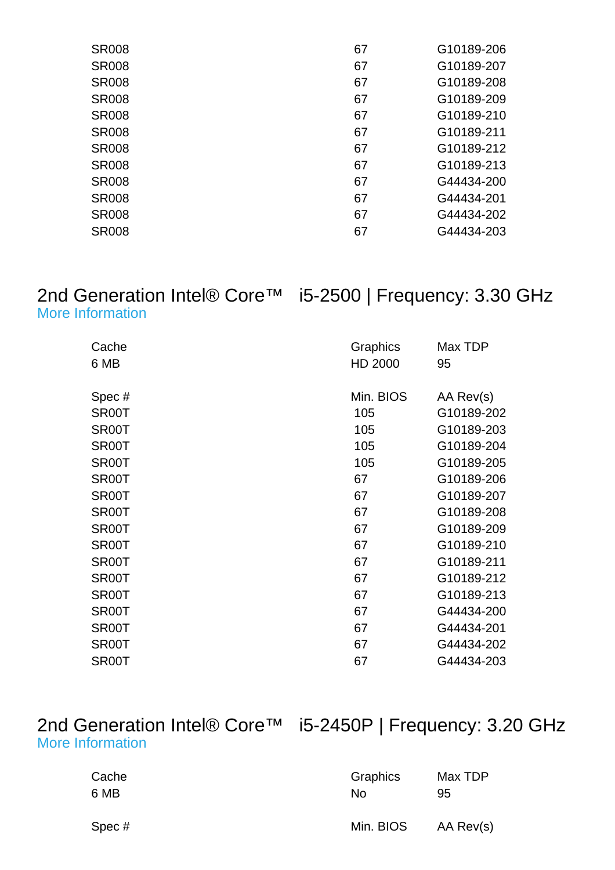| <b>SR008</b> | 67 | G10189-206 |
|--------------|----|------------|
| <b>SR008</b> | 67 | G10189-207 |
| <b>SR008</b> | 67 | G10189-208 |
| <b>SR008</b> | 67 | G10189-209 |
| <b>SR008</b> | 67 | G10189-210 |
| <b>SR008</b> | 67 | G10189-211 |
| <b>SR008</b> | 67 | G10189-212 |
| <b>SR008</b> | 67 | G10189-213 |
| <b>SR008</b> | 67 | G44434-200 |
| <b>SR008</b> | 67 | G44434-201 |
| <b>SR008</b> | 67 | G44434-202 |
| <b>SR008</b> | 67 | G44434-203 |
|              |    |            |

2nd Generation Intel® Core™ i5-2500 | Frequency: 3.30 GHz

| <b>More Information</b> |  |
|-------------------------|--|
|                         |  |

| Cache<br>6 MB | Graphics<br>HD 2000 | Max TDP<br>95 |
|---------------|---------------------|---------------|
| Spec#         | Min. BIOS           | AA Rev(s)     |
| SR00T         | 105                 | G10189-202    |
| SR00T         | 105                 | G10189-203    |
| SR00T         | 105                 | G10189-204    |
| SR00T         | 105                 | G10189-205    |
| SR00T         | 67                  | G10189-206    |
| SR00T         | 67                  | G10189-207    |
| SR00T         | 67                  | G10189-208    |
| SR00T         | 67                  | G10189-209    |
| SR00T         | 67                  | G10189-210    |
| SR00T         | 67                  | G10189-211    |
| SR00T         | 67                  | G10189-212    |
| SR00T         | 67                  | G10189-213    |
| SR00T         | 67                  | G44434-200    |
| SR00T         | 67                  | G44434-201    |
| SR00T         | 67                  | G44434-202    |
| SR00T         | 67                  | G44434-203    |
|               |                     |               |

#### 2nd Generation Intel® Core™ i5-2450P | Frequency: 3.20 GHz [More Information](http://ark.intel.com/Product.aspx?spec=SR0G1)

| Cache | Graphics  | Max TDP   |
|-------|-----------|-----------|
| 6 MB  | No        | 95        |
| Spec# | Min. BIOS | AA Rev(s) |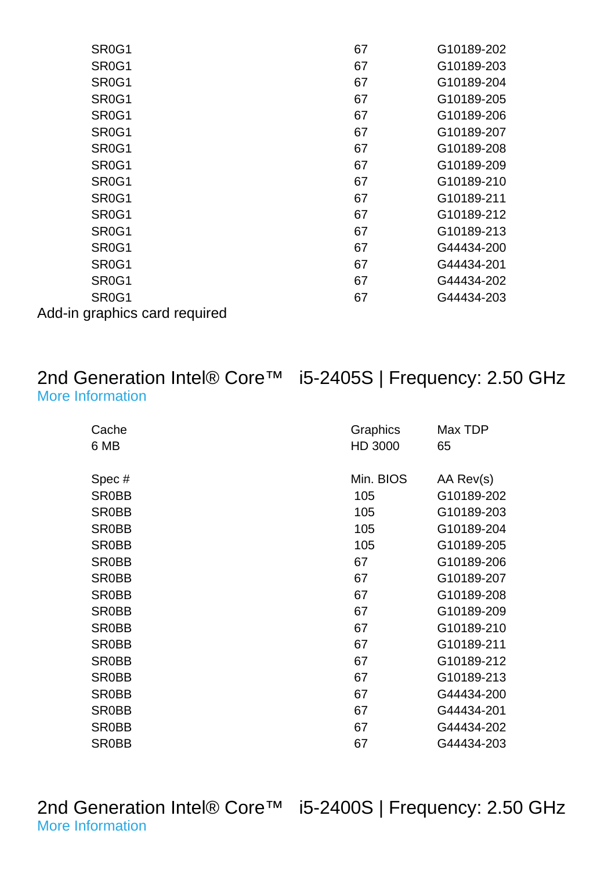| SR <sub>0</sub> G <sub>1</sub> | 67 | G10189-202 |
|--------------------------------|----|------------|
| SR <sub>0</sub> G <sub>1</sub> | 67 | G10189-203 |
| SR <sub>0</sub> G <sub>1</sub> | 67 | G10189-204 |
| SR <sub>0</sub> G <sub>1</sub> | 67 | G10189-205 |
| SR <sub>0</sub> G <sub>1</sub> | 67 | G10189-206 |
| SR <sub>0</sub> G <sub>1</sub> | 67 | G10189-207 |
| SR <sub>0</sub> G <sub>1</sub> | 67 | G10189-208 |
| SR <sub>0</sub> G <sub>1</sub> | 67 | G10189-209 |
| SR <sub>0</sub> G <sub>1</sub> | 67 | G10189-210 |
| SR <sub>0</sub> G <sub>1</sub> | 67 | G10189-211 |
| SR <sub>0</sub> G <sub>1</sub> | 67 | G10189-212 |
| SR <sub>0</sub> G <sub>1</sub> | 67 | G10189-213 |
| SR <sub>0</sub> G <sub>1</sub> | 67 | G44434-200 |
| SR <sub>0</sub> G <sub>1</sub> | 67 | G44434-201 |
| SR <sub>0</sub> G <sub>1</sub> | 67 | G44434-202 |
| SR <sub>0</sub> G <sub>1</sub> | 67 | G44434-203 |
|                                |    |            |

Add-in graphics card required

# [More Information](http://ark.intel.com/Product.aspx?spec=SR0BB)

#### 2nd Generation Intel® Core™ i5-2405S | Frequency: 2.50 GHz

| <b>More Information</b> |  |
|-------------------------|--|
|                         |  |

| Min. BIOS<br>Spec#<br>AA Rev(s)<br><b>SR0BB</b><br>G10189-202<br>105<br><b>SR0BB</b><br>G10189-203<br>105<br>105<br>SR0BB<br>G10189-204<br><b>SR0BB</b><br>105<br>G10189-205<br>G10189-206<br><b>SR0BB</b><br>67<br>SR0BB<br>G10189-207<br>67<br><b>SR0BB</b><br>67<br>G10189-208<br><b>SR0BB</b><br>67<br>G10189-209<br>G10189-210<br>SR0BB<br>67<br><b>SR0BB</b><br>G10189-211<br>67<br>G10189-212<br>SR0BB<br>67<br><b>SR0BB</b><br>G10189-213<br>67<br>SR0BB<br>67<br>G44434-200<br>G44434-201<br><b>SR0BB</b><br>67<br><b>SR0BB</b><br>67<br>G44434-202<br><b>SR0BB</b><br>G44434-203<br>67 | Cache<br>6 MB | Graphics<br>HD 3000 | Max TDP<br>65 |
|--------------------------------------------------------------------------------------------------------------------------------------------------------------------------------------------------------------------------------------------------------------------------------------------------------------------------------------------------------------------------------------------------------------------------------------------------------------------------------------------------------------------------------------------------------------------------------------------------|---------------|---------------------|---------------|
|                                                                                                                                                                                                                                                                                                                                                                                                                                                                                                                                                                                                  |               |                     |               |
|                                                                                                                                                                                                                                                                                                                                                                                                                                                                                                                                                                                                  |               |                     |               |
|                                                                                                                                                                                                                                                                                                                                                                                                                                                                                                                                                                                                  |               |                     |               |
|                                                                                                                                                                                                                                                                                                                                                                                                                                                                                                                                                                                                  |               |                     |               |
|                                                                                                                                                                                                                                                                                                                                                                                                                                                                                                                                                                                                  |               |                     |               |
|                                                                                                                                                                                                                                                                                                                                                                                                                                                                                                                                                                                                  |               |                     |               |
|                                                                                                                                                                                                                                                                                                                                                                                                                                                                                                                                                                                                  |               |                     |               |
|                                                                                                                                                                                                                                                                                                                                                                                                                                                                                                                                                                                                  |               |                     |               |
|                                                                                                                                                                                                                                                                                                                                                                                                                                                                                                                                                                                                  |               |                     |               |
|                                                                                                                                                                                                                                                                                                                                                                                                                                                                                                                                                                                                  |               |                     |               |
|                                                                                                                                                                                                                                                                                                                                                                                                                                                                                                                                                                                                  |               |                     |               |
|                                                                                                                                                                                                                                                                                                                                                                                                                                                                                                                                                                                                  |               |                     |               |
|                                                                                                                                                                                                                                                                                                                                                                                                                                                                                                                                                                                                  |               |                     |               |
|                                                                                                                                                                                                                                                                                                                                                                                                                                                                                                                                                                                                  |               |                     |               |
|                                                                                                                                                                                                                                                                                                                                                                                                                                                                                                                                                                                                  |               |                     |               |
|                                                                                                                                                                                                                                                                                                                                                                                                                                                                                                                                                                                                  |               |                     |               |
|                                                                                                                                                                                                                                                                                                                                                                                                                                                                                                                                                                                                  |               |                     |               |

2nd Generation Intel® Core™ i5-2400S | Frequency: 2.50 GHz [More Information](http://ark.intel.com/Product.aspx?spec=SR00S)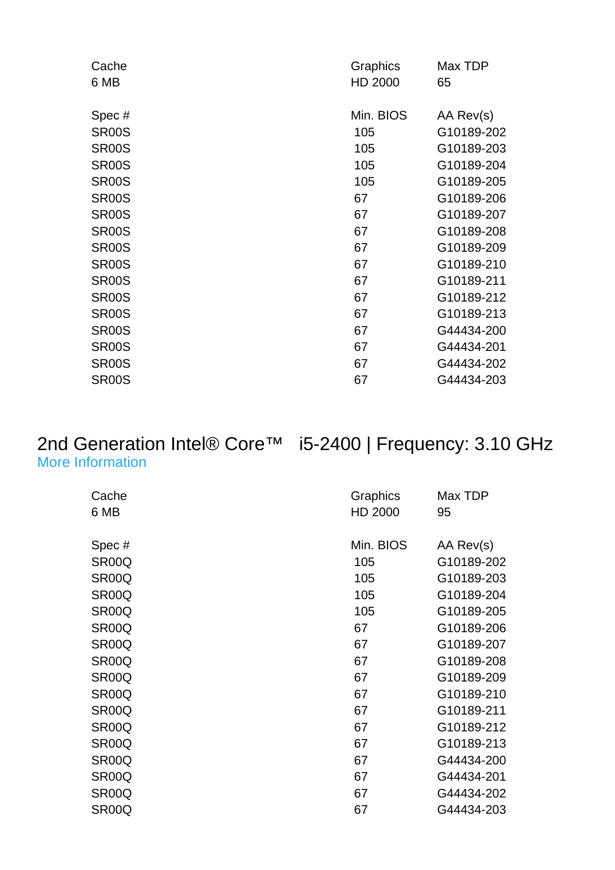| Cache              | Graphics  | Max TDP    |
|--------------------|-----------|------------|
| 6 MB               | HD 2000   | 65         |
|                    |           |            |
| Spec#              | Min. BIOS | AA Rev(s)  |
| SR <sub>00</sub> S | 105       | G10189-202 |
| <b>SR00S</b>       | 105       | G10189-203 |
| <b>SR00S</b>       | 105       | G10189-204 |
| <b>SR00S</b>       | 105       | G10189-205 |
| <b>SR00S</b>       | 67        | G10189-206 |
| SR <sub>00</sub> S | 67        | G10189-207 |
| <b>SR00S</b>       | 67        | G10189-208 |
| <b>SR00S</b>       | 67        | G10189-209 |
| <b>SR00S</b>       | 67        | G10189-210 |
| <b>SR00S</b>       | 67        | G10189-211 |
| <b>SR00S</b>       | 67        | G10189-212 |
| <b>SR00S</b>       | 67        | G10189-213 |
| SR <sub>00</sub> S | 67        | G44434-200 |
| SR <sub>00</sub> S | 67        | G44434-201 |
| SR <sub>00</sub> S | 67        | G44434-202 |
| SR00S              | 67        | G44434-203 |
|                    |           |            |

# [More Information](http://ark.intel.com/Product.aspx?spec=SR00Q)

2nd Generation Intel® Core™ i5-2400 | Frequency: 3.10 GHz

| Cache              | Graphics  | Max TDP    |
|--------------------|-----------|------------|
| 6 MB               | HD 2000   | 95         |
|                    |           |            |
| Spec#              | Min. BIOS | AA Rev(s)  |
| SR <sub>00</sub> Q | 105       | G10189-202 |
| SR <sub>00</sub> Q | 105       | G10189-203 |
| SR <sub>00</sub> Q | 105       | G10189-204 |
| SR <sub>00</sub> Q | 105       | G10189-205 |
| SR <sub>00</sub> Q | 67        | G10189-206 |
| SR00Q              | 67        | G10189-207 |
| SR <sub>00</sub> Q | 67        | G10189-208 |
| SR <sub>00</sub> Q | 67        | G10189-209 |
| SR00Q              | 67        | G10189-210 |
| SR <sub>00</sub> Q | 67        | G10189-211 |
| SR <sub>00</sub> Q | 67        | G10189-212 |
| SR <sub>00</sub> Q | 67        | G10189-213 |
| SR <sub>00</sub> Q | 67        | G44434-200 |
| SR <sub>00</sub> Q | 67        | G44434-201 |
| SR <sub>00</sub> Q | 67        | G44434-202 |
| SR00Q              | 67        | G44434-203 |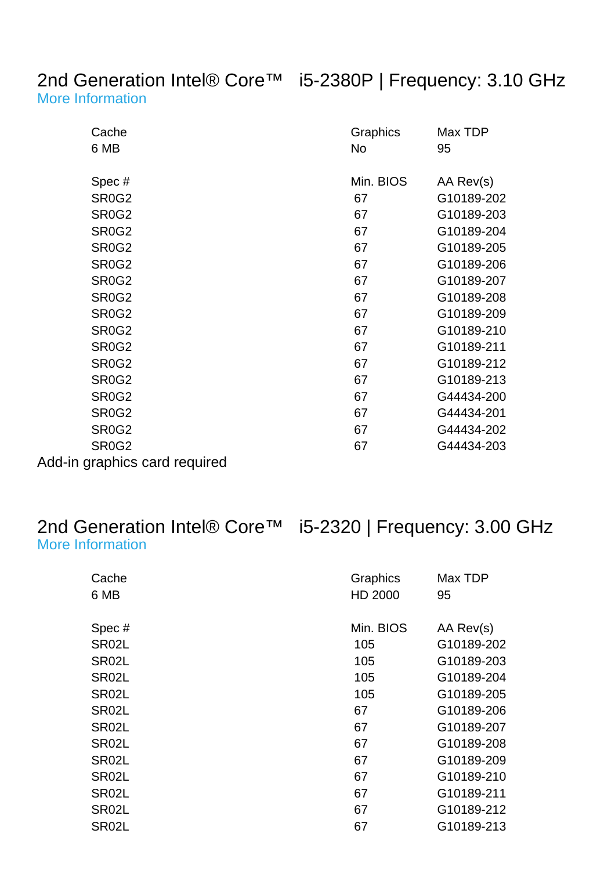#### 2nd Generation Intel® Core™ i5-2380P | Frequency: 3.10 GHz [More Information](http://ark.intel.com/Product.aspx?spec=SR0G2)

| Cache                          | Graphics  | Max TDP    |
|--------------------------------|-----------|------------|
| 6 MB                           | No        | 95         |
|                                |           |            |
| Spec#                          | Min. BIOS | AA Rev(s)  |
| <b>SR0G2</b>                   | 67        | G10189-202 |
| SR <sub>0</sub> G <sub>2</sub> | 67        | G10189-203 |
| <b>SR0G2</b>                   | 67        | G10189-204 |
| <b>SR0G2</b>                   | 67        | G10189-205 |
| <b>SR0G2</b>                   | 67        | G10189-206 |
| <b>SR0G2</b>                   | 67        | G10189-207 |
| SR <sub>0</sub> G <sub>2</sub> | 67        | G10189-208 |
| SR <sub>0</sub> G <sub>2</sub> | 67        | G10189-209 |
| <b>SR0G2</b>                   | 67        | G10189-210 |
| <b>SR0G2</b>                   | 67        | G10189-211 |
| <b>SR0G2</b>                   | 67        | G10189-212 |
| <b>SR0G2</b>                   | 67        | G10189-213 |
| <b>SR0G2</b>                   | 67        | G44434-200 |
| SR <sub>0</sub> G <sub>2</sub> | 67        | G44434-201 |
| <b>SR0G2</b>                   | 67        | G44434-202 |
| SR <sub>0</sub> G <sub>2</sub> | 67        | G44434-203 |
| Add-in graphics card required  |           |            |

# [More Information](http://ark.intel.com/Product.aspx?spec=SR02L)

### 2nd Generation Intel® Core™ i5-2320 | Frequency: 3.00 GHz

|  | <b>More Information</b> |  |
|--|-------------------------|--|
|--|-------------------------|--|

| Cache<br>6 MB      | Graphics<br>HD 2000 | Max TDP<br>95 |
|--------------------|---------------------|---------------|
| Spec#              | Min. BIOS           | AA Rev(s)     |
| SR02L              | 105                 | G10189-202    |
| SR02L              | 105                 | G10189-203    |
| SR <sub>02</sub> L | 105                 | G10189-204    |
| SR02L              | 105                 | G10189-205    |
| SR02L              | 67                  | G10189-206    |
| SR02L              | 67                  | G10189-207    |
| SR02L              | 67                  | G10189-208    |
| SR02L              | 67                  | G10189-209    |
| SR02L              | 67                  | G10189-210    |
| SR <sub>02</sub> L | 67                  | G10189-211    |
| SR02L              | 67                  | G10189-212    |
| SR <sub>02</sub> L | 67                  | G10189-213    |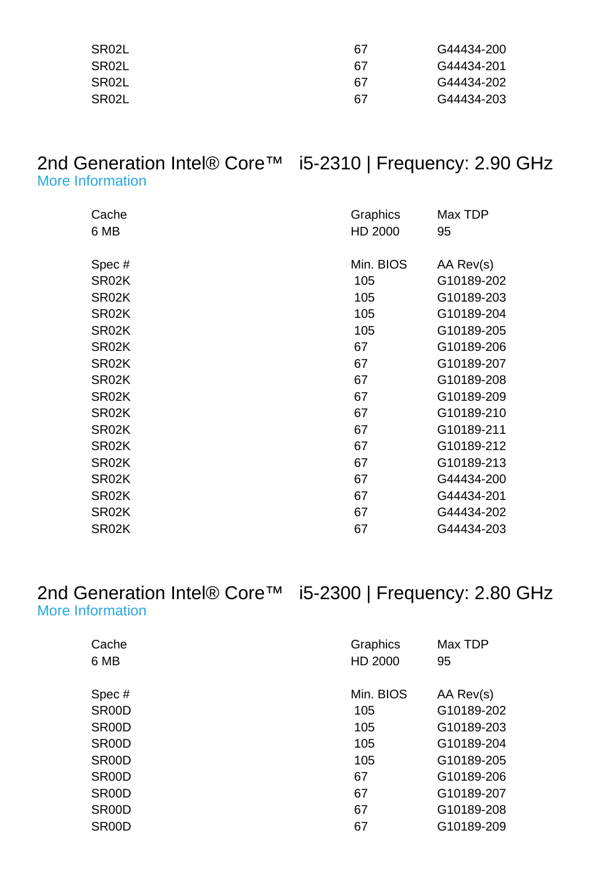| SR02L | 67 | G44434-200 |
|-------|----|------------|
| SR02L | 67 | G44434-201 |
| SR02L | 67 | G44434-202 |
| SR02L | 67 | G44434-203 |

#### 2nd Generation Intel® Core™ i5-2310 | Frequency: 2.90 GHz [More Information](http://ark.intel.com/Product.aspx?spec=SR02K)

| Cache<br>6 MB | Graphics<br>HD 2000 | Max TDP<br>95 |
|---------------|---------------------|---------------|
| Spec#         | Min. BIOS           | AA Rev(s)     |
| SR02K         | 105                 | G10189-202    |
| SR02K         | 105                 | G10189-203    |
| SR02K         | 105                 | G10189-204    |
| SR02K         | 105                 | G10189-205    |
| SR02K         | 67                  | G10189-206    |
| SR02K         | 67                  | G10189-207    |
| SR02K         | 67                  | G10189-208    |
| SR02K         | 67                  | G10189-209    |
| SR02K         | 67                  | G10189-210    |
| SR02K         | 67                  | G10189-211    |
| SR02K         | 67                  | G10189-212    |
| SR02K         | 67                  | G10189-213    |
| SR02K         | 67                  | G44434-200    |
| SR02K         | 67                  | G44434-201    |
| SR02K         | 67                  | G44434-202    |
| SR02K         | 67                  | G44434-203    |

#### 2nd Generation Intel® Core™ i5-2300 | Frequency: 2.80 GHz [More Information](http://ark.intel.com/Product.aspx?spec=SR00D)

| Cache              | Graphics  | Max TDP    |
|--------------------|-----------|------------|
| 6 MB               | HD 2000   | 95         |
|                    |           |            |
| Spec#              | Min. BIOS | AA Rev(s)  |
| SR00D              | 105       | G10189-202 |
| SR <sub>00</sub> D | 105       | G10189-203 |
| SR <sub>00</sub> D | 105       | G10189-204 |
| SR <sub>00</sub> D | 105       | G10189-205 |
| SR <sub>00</sub> D | 67        | G10189-206 |
| SR <sub>00</sub> D | 67        | G10189-207 |
| SR <sub>00</sub> D | 67        | G10189-208 |
| SR <sub>00</sub> D | 67        | G10189-209 |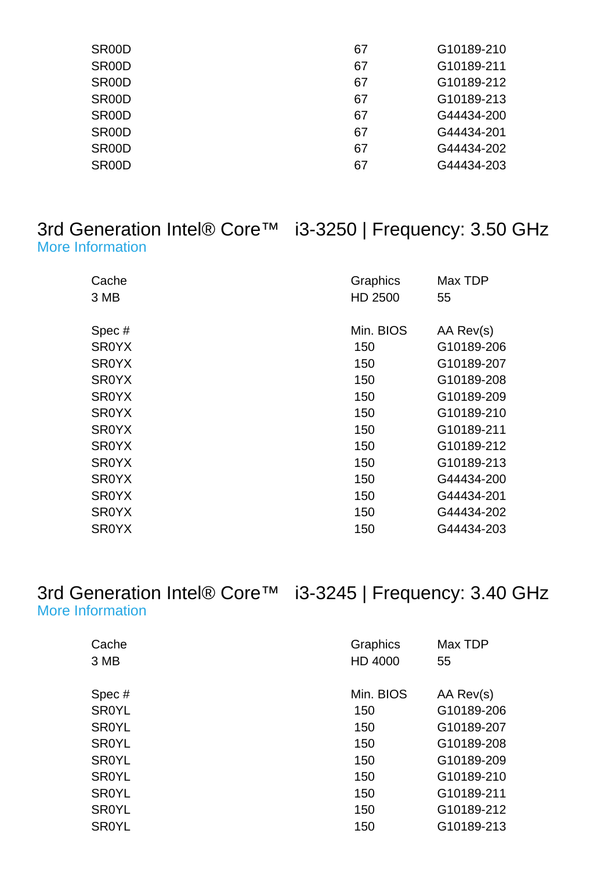| SR <sub>00</sub> D | 67 | G10189-210 |
|--------------------|----|------------|
| SR <sub>00</sub> D | 67 | G10189-211 |
| SR <sub>00</sub> D | 67 | G10189-212 |
| SR <sub>00</sub> D | 67 | G10189-213 |
| SR <sub>00</sub> D | 67 | G44434-200 |
| SR <sub>00</sub> D | 67 | G44434-201 |
| SR <sub>00</sub> D | 67 | G44434-202 |
| SR <sub>00</sub> D | 67 | G44434-203 |
|                    |    |            |

#### 3rd Generation Intel® Core™ i3-3250 | Frequency: 3.50 GHz [More Information](http://ark.intel.com/Product.aspx?spec=SR0YX)

| Cache<br>3 MB | Graphics<br>HD 2500 | Max TDP<br>55 |
|---------------|---------------------|---------------|
| Spec#         | Min. BIOS           | AA Rev(s)     |
| <b>SROYX</b>  | 150                 | G10189-206    |
| <b>SR0YX</b>  | 150                 | G10189-207    |
| <b>SR0YX</b>  | 150                 | G10189-208    |
| <b>SROYX</b>  | 150                 | G10189-209    |
| <b>SROYX</b>  | 150                 | G10189-210    |
| <b>SR0YX</b>  | 150                 | G10189-211    |
| <b>SROYX</b>  | 150                 | G10189-212    |
| <b>SROYX</b>  | 150                 | G10189-213    |
| <b>SROYX</b>  | 150                 | G44434-200    |
| <b>SR0YX</b>  | 150                 | G44434-201    |
| <b>SROYX</b>  | 150                 | G44434-202    |
| <b>SR0YX</b>  | 150                 | G44434-203    |

#### 3rd Generation Intel® Core™ i3-3245 | Frequency: 3.40 GHz [More Information](http://ark.intel.com/Product.aspx?spec=SR0YL)

| Cache        | Graphics  | Max TDP    |
|--------------|-----------|------------|
| 3 MB         | HD 4000   | 55         |
|              |           |            |
| Spec#        | Min. BIOS | AA Rev(s)  |
| <b>SR0YL</b> | 150       | G10189-206 |
| <b>SR0YL</b> | 150       | G10189-207 |
| <b>SR0YL</b> | 150       | G10189-208 |
| <b>SR0YL</b> | 150       | G10189-209 |
| <b>SR0YL</b> | 150       | G10189-210 |
| <b>SR0YL</b> | 150       | G10189-211 |
| <b>SR0YL</b> | 150       | G10189-212 |
| <b>SR0YL</b> | 150       | G10189-213 |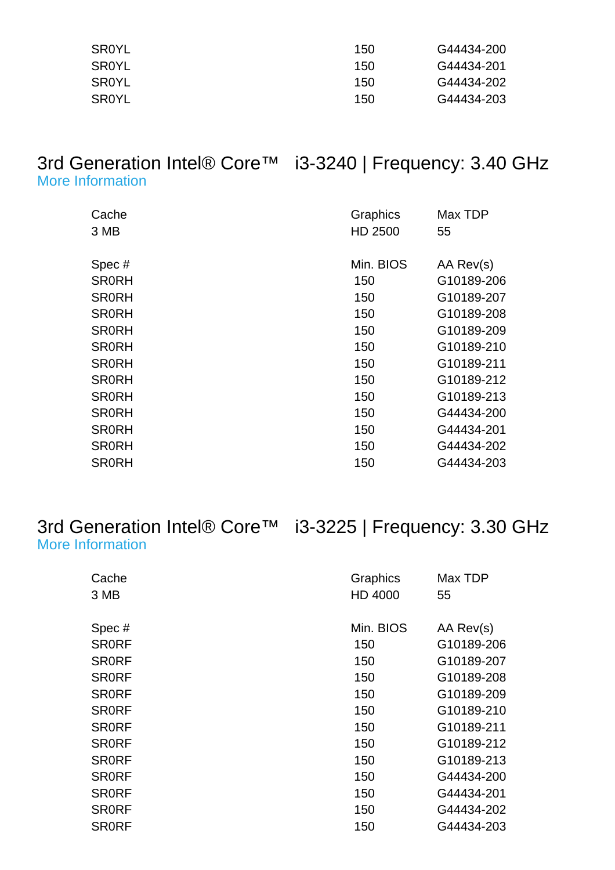| SR0YL | 150 | G44434-200 |
|-------|-----|------------|
| SR0YL | 150 | G44434-201 |
| SR0YL | 150 | G44434-202 |
| SR0YL | 150 | G44434-203 |

#### 3rd Generation Intel® Core™ i3-3240 | Frequency: 3.40 GHz [More Information](http://ark.intel.com/Product.aspx?spec=SR0RH)

| Cache<br>3 MB | Graphics<br>HD 2500 | Max TDP<br>55 |
|---------------|---------------------|---------------|
|               | Min. BIOS           |               |
| Spec#         |                     | AA Rev(s)     |
| <b>SR0RH</b>  | 150                 | G10189-206    |
| <b>SR0RH</b>  | 150                 | G10189-207    |
| <b>SR0RH</b>  | 150                 | G10189-208    |
| <b>SR0RH</b>  | 150                 | G10189-209    |
| <b>SR0RH</b>  | 150                 | G10189-210    |
| <b>SR0RH</b>  | 150                 | G10189-211    |
| <b>SR0RH</b>  | 150                 | G10189-212    |
| <b>SR0RH</b>  | 150                 | G10189-213    |
| <b>SR0RH</b>  | 150                 | G44434-200    |
| <b>SR0RH</b>  | 150                 | G44434-201    |
| <b>SR0RH</b>  | 150                 | G44434-202    |
| <b>SR0RH</b>  | 150                 | G44434-203    |

#### 3rd Generation Intel® Core™ i3-3225 | Frequency: 3.30 GHz [More Information](http://ark.intel.com/Product.aspx?spec=SR0RF)

| Cache        | Graphics  | Max TDP    |
|--------------|-----------|------------|
| 3 MB         | HD 4000   | 55         |
|              |           |            |
| Spec#        | Min. BIOS | AA Rev(s)  |
| <b>SRORF</b> | 150       | G10189-206 |
| <b>SRORF</b> | 150       | G10189-207 |
| <b>SR0RF</b> | 150       | G10189-208 |
| <b>SRORF</b> | 150       | G10189-209 |
| <b>SR0RF</b> | 150       | G10189-210 |
| <b>SRORF</b> | 150       | G10189-211 |
| <b>SRORF</b> | 150       | G10189-212 |
| <b>SRORF</b> | 150       | G10189-213 |
| <b>SR0RF</b> | 150       | G44434-200 |
| <b>SR0RF</b> | 150       | G44434-201 |
| <b>SRORF</b> | 150       | G44434-202 |
| <b>SRORF</b> | 150       | G44434-203 |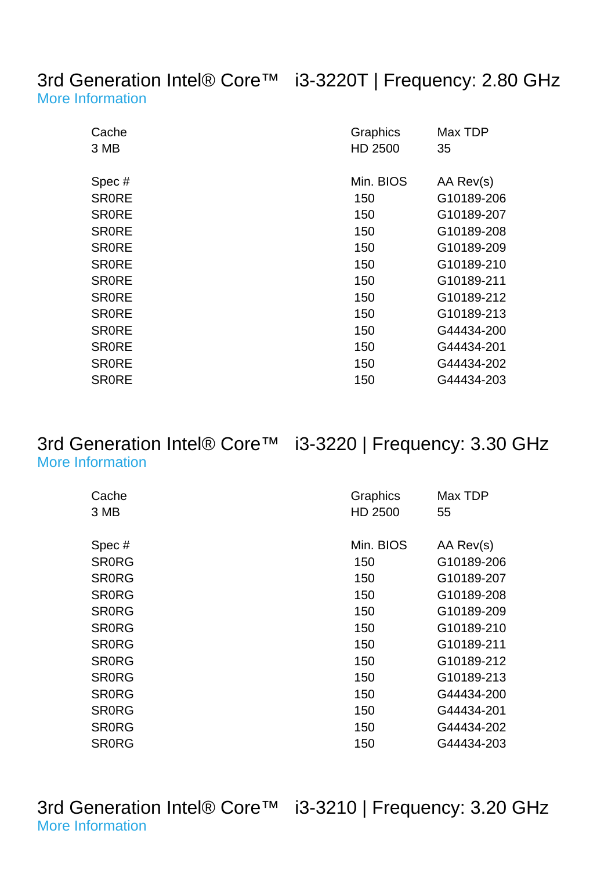3rd Generation Intel® Core™ i3-3220T | Frequency: 2.80 GHz [More Information](http://ark.intel.com/Product.aspx?spec=SR0RE)

| Cache<br>3 MB | Graphics<br>HD 2500 | Max TDP<br>35 |
|---------------|---------------------|---------------|
| Spec#         | Min. BIOS           | AA Rev(s)     |
| <b>SRORE</b>  | 150                 | G10189-206    |
| <b>SRORE</b>  | 150                 | G10189-207    |
| <b>SR0RE</b>  | 150                 | G10189-208    |
| <b>SRORE</b>  | 150                 | G10189-209    |
| <b>SRORE</b>  | 150                 | G10189-210    |
| <b>SRORE</b>  | 150                 | G10189-211    |
| <b>SR0RE</b>  | 150                 | G10189-212    |
| <b>SRORE</b>  | 150                 | G10189-213    |
| <b>SRORE</b>  | 150                 | G44434-200    |
| <b>SRORE</b>  | 150                 | G44434-201    |
| <b>SR0RE</b>  | 150                 | G44434-202    |
| <b>SR0RE</b>  | 150                 | G44434-203    |

#### 3rd Generation Intel® Core™ i3-3220 | Frequency: 3.30 GHz [More Information](http://ark.intel.com/Product.aspx?spec=SR0RG)

| Cache        | Graphics  | Max TDP    |
|--------------|-----------|------------|
| 3 MB         | HD 2500   | 55         |
|              |           |            |
| Spec#        | Min. BIOS | AA Rev(s)  |
| <b>SRORG</b> | 150       | G10189-206 |
| <b>SRORG</b> | 150       | G10189-207 |
| <b>SRORG</b> | 150       | G10189-208 |
| <b>SRORG</b> | 150       | G10189-209 |
| <b>SRORG</b> | 150       | G10189-210 |
| <b>SRORG</b> | 150       | G10189-211 |
| <b>SR0RG</b> | 150       | G10189-212 |
| <b>SRORG</b> | 150       | G10189-213 |
| <b>SR0RG</b> | 150       | G44434-200 |
| <b>SRORG</b> | 150       | G44434-201 |
| <b>SR0RG</b> | 150       | G44434-202 |
| <b>SR0RG</b> | 150       | G44434-203 |

3rd Generation Intel® Core™ i3-3210 | Frequency: 3.20 GHz [More Information](http://ark.intel.com/Product.aspx?spec=SR0YY)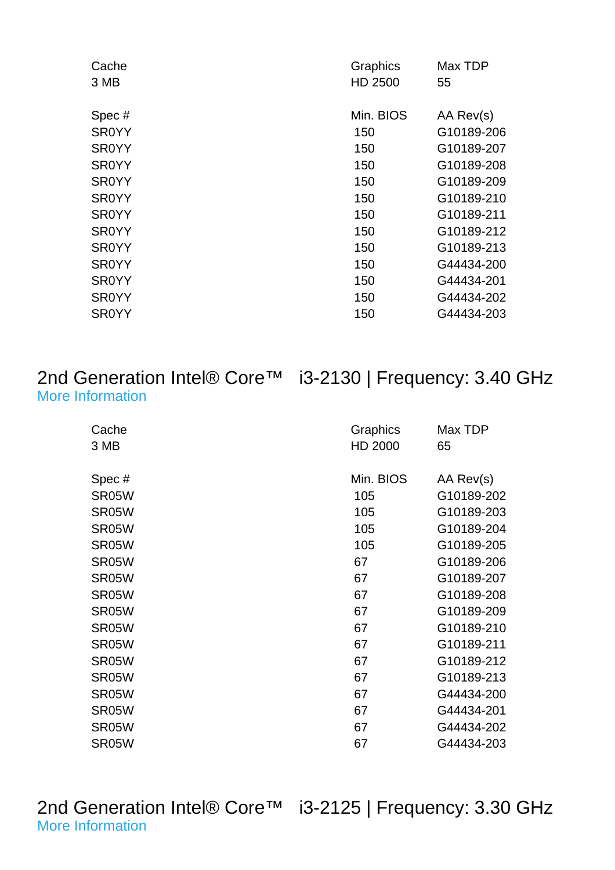| Cache        | Graphics  | Max TDP    |
|--------------|-----------|------------|
| 3 MB         | HD 2500   | 55         |
|              |           |            |
| Spec#        | Min. BIOS | AA Rev(s)  |
| <b>SR0YY</b> | 150       | G10189-206 |
| <b>SR0YY</b> | 150       | G10189-207 |
| <b>SR0YY</b> | 150       | G10189-208 |
| <b>SR0YY</b> | 150       | G10189-209 |
| <b>SR0YY</b> | 150       | G10189-210 |
| <b>SR0YY</b> | 150       | G10189-211 |
| <b>SR0YY</b> | 150       | G10189-212 |
| <b>SR0YY</b> | 150       | G10189-213 |
| <b>SR0YY</b> | 150       | G44434-200 |
| <b>SR0YY</b> | 150       | G44434-201 |
| <b>SR0YY</b> | 150       | G44434-202 |
| <b>SR0YY</b> | 150       | G44434-203 |
|              |           |            |

#### 2nd Generation Intel® Core™ i3-2130 | Frequency: 3.40 GHz [More Information](http://ark.intel.com/Product.aspx?spec=SR05W)

| Cache<br>3 MB | Graphics<br>HD 2000 | Max TDP<br>65 |
|---------------|---------------------|---------------|
| Spec#         | Min. BIOS           | AA Rev(s)     |
| SR05W         | 105                 | G10189-202    |
| SR05W         | 105                 | G10189-203    |
| SR05W         | 105                 | G10189-204    |
| SR05W         | 105                 | G10189-205    |
| SR05W         | 67                  | G10189-206    |
| SR05W         | 67                  | G10189-207    |
| SR05W         | 67                  | G10189-208    |
| SR05W         | 67                  | G10189-209    |
| SR05W         | 67                  | G10189-210    |
| SR05W         | 67                  | G10189-211    |
| SR05W         | 67                  | G10189-212    |
| SR05W         | 67                  | G10189-213    |
| SR05W         | 67                  | G44434-200    |
| SR05W         | 67                  | G44434-201    |
| SR05W         | 67                  | G44434-202    |
| SR05W         | 67                  | G44434-203    |

2nd Generation Intel® Core™ i3-2125 | Frequency: 3.30 GHz [More Information](http://ark.intel.com/Product.aspx?spec=SR0AY)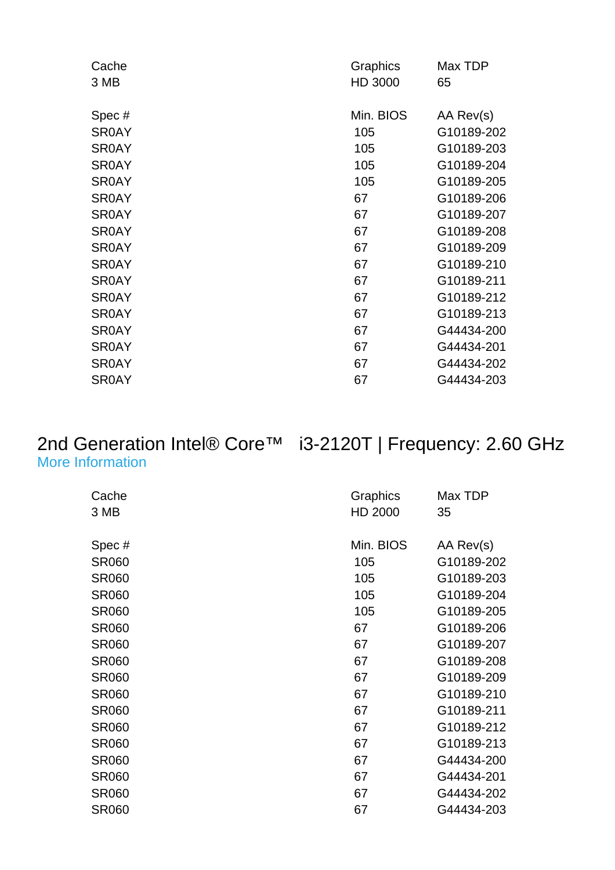| Cache        | Graphics  | Max TDP    |
|--------------|-----------|------------|
| 3 MB         | HD 3000   | 65         |
|              |           |            |
| Spec#        | Min. BIOS | AA Rev(s)  |
| <b>SR0AY</b> | 105       | G10189-202 |
| <b>SR0AY</b> | 105       | G10189-203 |
| <b>SR0AY</b> | 105       | G10189-204 |
| <b>SR0AY</b> | 105       | G10189-205 |
| <b>SR0AY</b> | 67        | G10189-206 |
| <b>SR0AY</b> | 67        | G10189-207 |
| <b>SR0AY</b> | 67        | G10189-208 |
| <b>SR0AY</b> | 67        | G10189-209 |
| <b>SR0AY</b> | 67        | G10189-210 |
| <b>SR0AY</b> | 67        | G10189-211 |
| <b>SR0AY</b> | 67        | G10189-212 |
| <b>SR0AY</b> | 67        | G10189-213 |
| <b>SR0AY</b> | 67        | G44434-200 |
| <b>SR0AY</b> | 67        | G44434-201 |
| <b>SR0AY</b> | 67        | G44434-202 |
| <b>SR0AY</b> | 67        | G44434-203 |
|              |           |            |

#### 2nd Generation Intel® Core™ i3-2120T | Frequency: 2.60 GHz [More Information](http://ark.intel.com/Product.aspx?spec=SR060)

| Cache<br>3 MB | Graphics<br>HD 2000 | Max TDP<br>35 |
|---------------|---------------------|---------------|
| Spec#         | Min. BIOS           | AA Rev(s)     |
| <b>SR060</b>  | 105                 | G10189-202    |
| <b>SR060</b>  | 105                 | G10189-203    |
| <b>SR060</b>  | 105                 | G10189-204    |
| <b>SR060</b>  | 105                 | G10189-205    |
| <b>SR060</b>  | 67                  | G10189-206    |
| <b>SR060</b>  | 67                  | G10189-207    |
| <b>SR060</b>  | 67                  | G10189-208    |
| <b>SR060</b>  | 67                  | G10189-209    |
| <b>SR060</b>  | 67                  | G10189-210    |
| <b>SR060</b>  | 67                  | G10189-211    |
| <b>SR060</b>  | 67                  | G10189-212    |
| <b>SR060</b>  | 67                  | G10189-213    |
| <b>SR060</b>  | 67                  | G44434-200    |
| <b>SR060</b>  | 67                  | G44434-201    |
| <b>SR060</b>  | 67                  | G44434-202    |
| <b>SR060</b>  | 67                  | G44434-203    |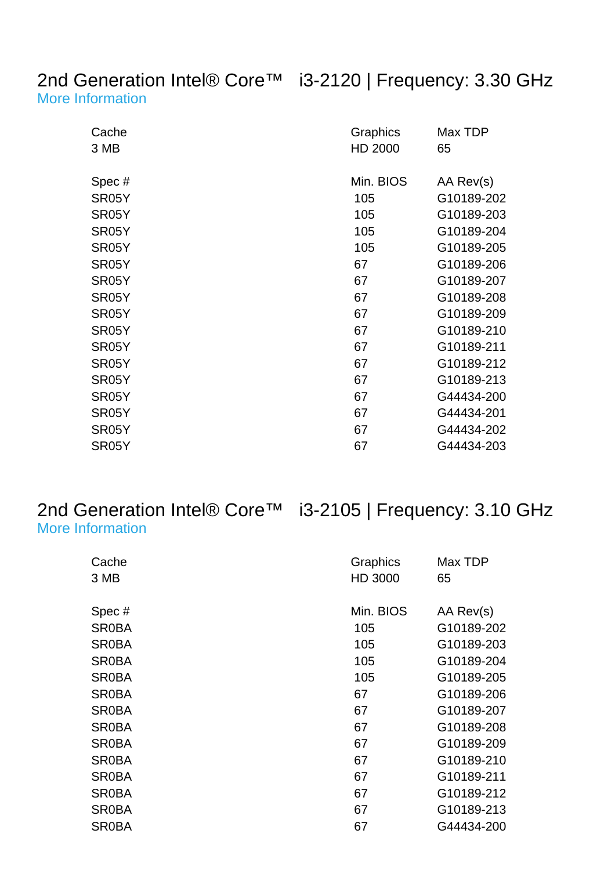#### 2nd Generation Intel® Core™ i3-2120 | Frequency: 3.30 GHz [More Information](http://ark.intel.com/Product.aspx?spec=SR05Y)

| Cache<br>3 MB | Graphics<br>HD 2000 | Max TDP<br>65 |
|---------------|---------------------|---------------|
| Spec#         | Min. BIOS           | AA Rev(s)     |
| SR05Y         | 105                 | G10189-202    |
| SR05Y         | 105                 | G10189-203    |
| SR05Y         | 105                 | G10189-204    |
| SR05Y         | 105                 | G10189-205    |
| SR05Y         | 67                  | G10189-206    |
| SR05Y         | 67                  | G10189-207    |
| SR05Y         | 67                  | G10189-208    |
| SR05Y         | 67                  | G10189-209    |
| SR05Y         | 67                  | G10189-210    |
| SR05Y         | 67                  | G10189-211    |
| SR05Y         | 67                  | G10189-212    |
| SR05Y         | 67                  | G10189-213    |
| SR05Y         | 67                  | G44434-200    |
| SR05Y         | 67                  | G44434-201    |
| SR05Y         | 67                  | G44434-202    |
| SR05Y         | 67                  | G44434-203    |

#### 2nd Generation Intel® Core™ i3-2105 | Frequency: 3.10 GHz [More Information](http://ark.intel.com/Product.aspx?spec=SR0BA)

| Cache        | Graphics  | Max TDP    |
|--------------|-----------|------------|
| 3 MB         | HD 3000   | 65         |
| Spec#        | Min. BIOS | AA Rev(s)  |
| <b>SR0BA</b> | 105       | G10189-202 |
| <b>SR0BA</b> | 105       | G10189-203 |
| <b>SR0BA</b> | 105       | G10189-204 |
| <b>SR0BA</b> | 105       | G10189-205 |
| <b>SR0BA</b> | 67        | G10189-206 |
| <b>SR0BA</b> | 67        | G10189-207 |
| <b>SR0BA</b> | 67        | G10189-208 |
| <b>SR0BA</b> | 67        | G10189-209 |
| <b>SR0BA</b> | 67        | G10189-210 |
| <b>SR0BA</b> | 67        | G10189-211 |
| <b>SR0BA</b> | 67        | G10189-212 |
| <b>SR0BA</b> | 67        | G10189-213 |
| <b>SR0BA</b> | 67        | G44434-200 |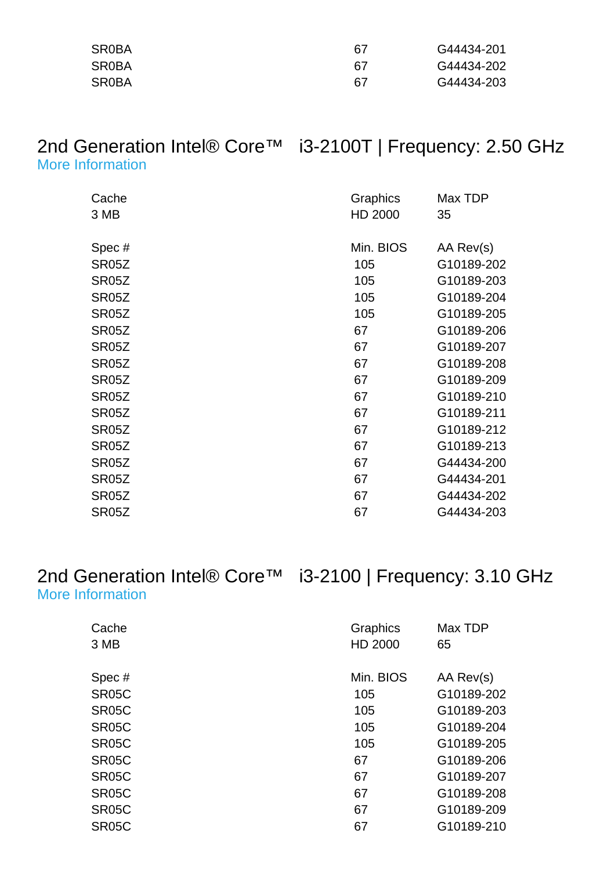| <b>SR0BA</b> | 67 | G44434-201 |
|--------------|----|------------|
| <b>SR0BA</b> | 67 | G44434-202 |
| <b>SR0BA</b> | 67 | G44434-203 |

#### 2nd Generation Intel® Core™ i3-2100T | Frequency: 2.50 GHz [More Information](http://ark.intel.com/Product.aspx?spec=SR05Z)

| Cache              | Graphics  | Max TDP    |
|--------------------|-----------|------------|
| 3 MB               | HD 2000   | 35         |
| Spec#              | Min. BIOS | AA Rev(s)  |
| SR <sub>05</sub> Z | 105       | G10189-202 |
| SR05Z              | 105       | G10189-203 |
| SR05Z              | 105       | G10189-204 |
| SR05Z              | 105       | G10189-205 |
| SR05Z              | 67        | G10189-206 |
| SR05Z              | 67        | G10189-207 |
| SR05Z              | 67        | G10189-208 |
| SR05Z              | 67        | G10189-209 |
| SR05Z              | 67        | G10189-210 |
| SR05Z              | 67        | G10189-211 |
| SR <sub>05</sub> Z | 67        | G10189-212 |
| SR05Z              | 67        | G10189-213 |
| SR <sub>05</sub> Z | 67        | G44434-200 |
| SR05Z              | 67        | G44434-201 |
| SR05Z              | 67        | G44434-202 |
| <b>SR05Z</b>       | 67        | G44434-203 |

#### 2nd Generation Intel® Core™ i3-2100 | Frequency: 3.10 GHz [More Information](http://ark.intel.com/Product.aspx?spec=SR05C)

| Cache<br>3 MB      | Graphics<br>HD 2000 | Max TDP<br>65 |
|--------------------|---------------------|---------------|
| Spec#              | Min. BIOS           | AA Rev(s)     |
| SR <sub>05</sub> C | 105                 | G10189-202    |
| SR <sub>05</sub> C | 105                 | G10189-203    |
| SR <sub>05</sub> C | 105                 | G10189-204    |
| SR05C              | 105                 | G10189-205    |
| SR <sub>05</sub> C | 67                  | G10189-206    |
| SR <sub>05</sub> C | 67                  | G10189-207    |
| SR <sub>05</sub> C | 67                  | G10189-208    |
| SR <sub>05</sub> C | 67                  | G10189-209    |
| SR <sub>05</sub> C | 67                  | G10189-210    |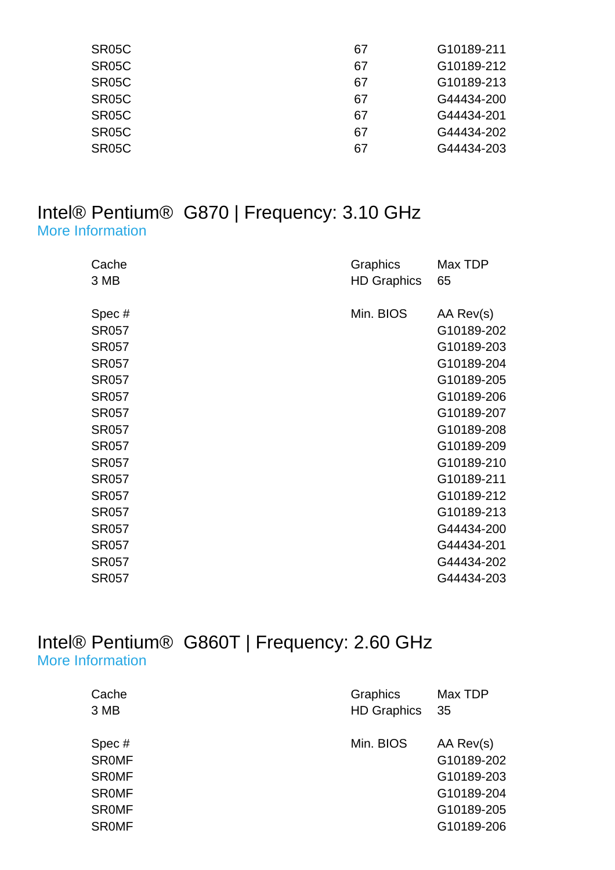| SR <sub>05</sub> C | 67 | G10189-211 |
|--------------------|----|------------|
| SR <sub>05</sub> C | 67 | G10189-212 |
| SR <sub>05</sub> C | 67 | G10189-213 |
| SR <sub>05</sub> C | 67 | G44434-200 |
| SR <sub>05</sub> C | 67 | G44434-201 |
| SR <sub>05</sub> C | 67 | G44434-202 |
| SR <sub>05</sub> C | 67 | G44434-203 |

#### Intel® Pentium® G870 | Frequency: 3.10 GHz [More Information](http://ark.intel.com/Product.aspx?spec=SR057)

| Cache<br>3 MB                                                                                                                                                                                                                                         | Graphics<br><b>HD Graphics</b> | Max TDP<br>65                                                                                                                                                                                                               |
|-------------------------------------------------------------------------------------------------------------------------------------------------------------------------------------------------------------------------------------------------------|--------------------------------|-----------------------------------------------------------------------------------------------------------------------------------------------------------------------------------------------------------------------------|
| Spec#<br><b>SR057</b><br><b>SR057</b><br><b>SR057</b><br><b>SR057</b><br><b>SR057</b><br><b>SR057</b><br><b>SR057</b><br><b>SR057</b><br><b>SR057</b><br><b>SR057</b><br><b>SR057</b><br><b>SR057</b><br><b>SR057</b><br><b>SR057</b><br><b>SR057</b> | Min. BIOS                      | AA Rev(s)<br>G10189-202<br>G10189-203<br>G10189-204<br>G10189-205<br>G10189-206<br>G10189-207<br>G10189-208<br>G10189-209<br>G10189-210<br>G10189-211<br>G10189-212<br>G10189-213<br>G44434-200<br>G44434-201<br>G44434-202 |
| <b>SR057</b>                                                                                                                                                                                                                                          |                                | G44434-203                                                                                                                                                                                                                  |

#### Intel® Pentium® G860T | Frequency: 2.60 GHz [More Information](http://ark.intel.com/Product.aspx?spec=SR0MF)

| Cache        | Graphics           | Max TDP    |
|--------------|--------------------|------------|
| 3 MB         | <b>HD Graphics</b> | 35         |
| Spec#        | Min. BIOS          | AA Rev(s)  |
| <b>SROMF</b> |                    | G10189-202 |
| <b>SROMF</b> |                    | G10189-203 |
| <b>SROMF</b> |                    | G10189-204 |
| <b>SROMF</b> |                    | G10189-205 |
| <b>SROMF</b> |                    | G10189-206 |
|              |                    |            |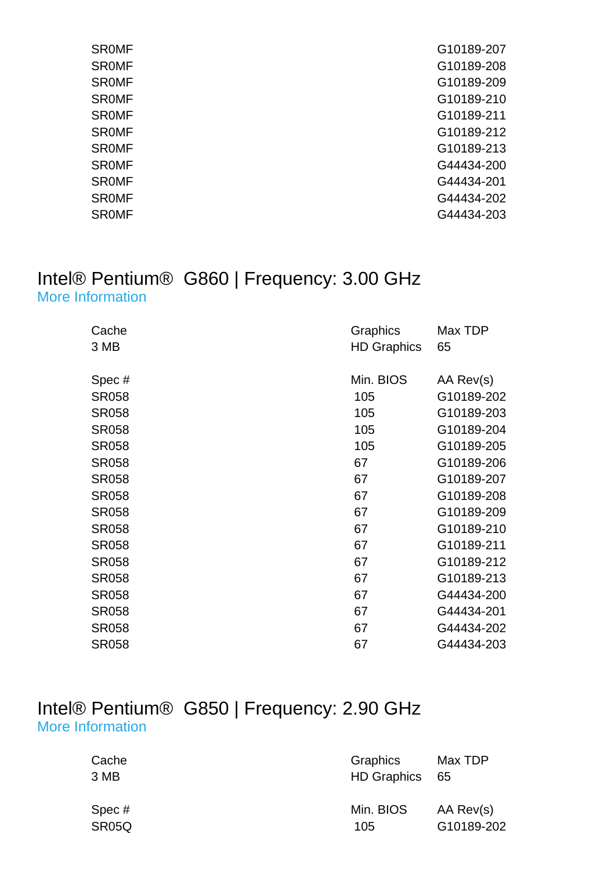| <b>SROMF</b> | G10189-207 |
|--------------|------------|
| <b>SROMF</b> | G10189-208 |
| <b>SROMF</b> | G10189-209 |
| <b>SROMF</b> | G10189-210 |
| <b>SROMF</b> | G10189-211 |
| <b>SROMF</b> | G10189-212 |
| <b>SROMF</b> | G10189-213 |
| <b>SROMF</b> | G44434-200 |
| <b>SROMF</b> | G44434-201 |
| <b>SROMF</b> | G44434-202 |
| <b>SROMF</b> | G44434-203 |
|              |            |

#### Intel® Pentium® G860 | Frequency: 3.00 GHz [More Information](http://ark.intel.com/Product.aspx?spec=SR058)

| Cache<br>3 MB | Graphics<br><b>HD Graphics</b> | Max TDP<br>65 |
|---------------|--------------------------------|---------------|
| Spec#         | Min. BIOS                      | AA Rev(s)     |
| <b>SR058</b>  | 105                            | G10189-202    |
| <b>SR058</b>  | 105                            | G10189-203    |
| <b>SR058</b>  | 105                            | G10189-204    |
| <b>SR058</b>  | 105                            | G10189-205    |
| <b>SR058</b>  | 67                             | G10189-206    |
| <b>SR058</b>  | 67                             | G10189-207    |
| <b>SR058</b>  | 67                             | G10189-208    |
| <b>SR058</b>  | 67                             | G10189-209    |
| <b>SR058</b>  | 67                             | G10189-210    |
| <b>SR058</b>  | 67                             | G10189-211    |
| <b>SR058</b>  | 67                             | G10189-212    |
| <b>SR058</b>  | 67                             | G10189-213    |
| <b>SR058</b>  | 67                             | G44434-200    |
| <b>SR058</b>  | 67                             | G44434-201    |
| <b>SR058</b>  | 67                             | G44434-202    |
| <b>SR058</b>  | 67                             | G44434-203    |

#### Intel® Pentium® G850 | Frequency: 2.90 GHz [More Information](http://ark.intel.com/Product.aspx?spec=SR05Q)

| Cache<br>3 MB | <b>Graphics</b><br>HD Graphics 65 | Max TDP    |
|---------------|-----------------------------------|------------|
| Spec#         | Min. BIOS                         | AA Rev(s)  |
| SR05Q         | 105                               | G10189-202 |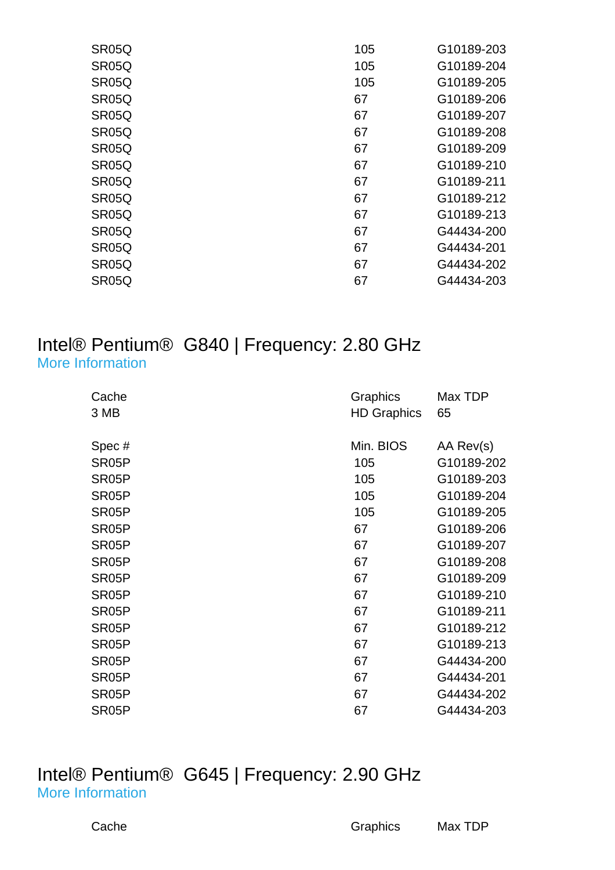| SR05Q              | 105 | G10189-203 |
|--------------------|-----|------------|
| SR05Q              | 105 | G10189-204 |
| SR <sub>05</sub> Q | 105 | G10189-205 |
| SR <sub>05</sub> Q | 67  | G10189-206 |
| SR05Q              | 67  | G10189-207 |
| SR <sub>05</sub> Q | 67  | G10189-208 |
| SR <sub>05</sub> Q | 67  | G10189-209 |
| SR05Q              | 67  | G10189-210 |
| SR <sub>05</sub> Q | 67  | G10189-211 |
| SR <sub>05</sub> Q | 67  | G10189-212 |
| SR <sub>05</sub> Q | 67  | G10189-213 |
| SR05Q              | 67  | G44434-200 |
| SR05Q              | 67  | G44434-201 |
| SR05Q              | 67  | G44434-202 |
| SR <sub>05</sub> Q | 67  | G44434-203 |

#### Intel® Pentium® G840 | Frequency: 2.80 GHz [More Information](http://ark.intel.com/Product.aspx?spec=SR05P)

| Cache              | Graphics           | Max TDP    |
|--------------------|--------------------|------------|
| 3 MB               | <b>HD Graphics</b> | 65         |
|                    |                    |            |
| Spec#              | Min. BIOS          | AA Rev(s)  |
| SR <sub>05</sub> P | 105                | G10189-202 |
| SR <sub>05</sub> P | 105                | G10189-203 |
| SR <sub>05</sub> P | 105                | G10189-204 |
| SR <sub>05</sub> P | 105                | G10189-205 |
| SR <sub>05</sub> P | 67                 | G10189-206 |
| SR <sub>05</sub> P | 67                 | G10189-207 |
| SR <sub>05</sub> P | 67                 | G10189-208 |
| SR <sub>05</sub> P | 67                 | G10189-209 |
| SR <sub>05</sub> P | 67                 | G10189-210 |
| SR <sub>05</sub> P | 67                 | G10189-211 |
| SR <sub>05</sub> P | 67                 | G10189-212 |
| SR <sub>05</sub> P | 67                 | G10189-213 |
| SR <sub>05</sub> P | 67                 | G44434-200 |
| SR <sub>05</sub> P | 67                 | G44434-201 |
| SR <sub>05</sub> P | 67                 | G44434-202 |
| SR <sub>05</sub> P | 67                 | G44434-203 |

#### Intel® Pentium® G645 | Frequency: 2.90 GHz [More Information](http://ark.intel.com/Product.aspx?spec=SR0RS)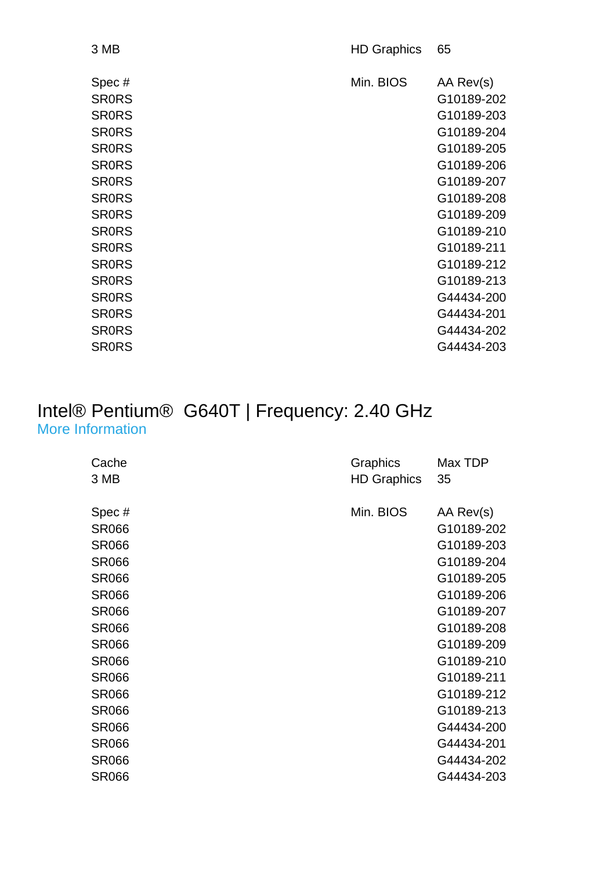| 3 MB         | <b>HD Graphics</b> | 65         |
|--------------|--------------------|------------|
| Spec#        | Min. BIOS          | AA Rev(s)  |
| <b>SRORS</b> |                    | G10189-202 |
| <b>SRORS</b> |                    | G10189-203 |
| <b>SRORS</b> |                    | G10189-204 |
| <b>SRORS</b> |                    | G10189-205 |
| <b>SRORS</b> |                    | G10189-206 |
| <b>SRORS</b> |                    | G10189-207 |
| <b>SRORS</b> |                    | G10189-208 |
| <b>SRORS</b> |                    | G10189-209 |
| <b>SRORS</b> |                    | G10189-210 |
| <b>SRORS</b> |                    | G10189-211 |
| <b>SRORS</b> |                    | G10189-212 |
| <b>SRORS</b> |                    | G10189-213 |
| <b>SRORS</b> |                    | G44434-200 |
| <b>SRORS</b> |                    | G44434-201 |
| <b>SRORS</b> |                    | G44434-202 |
| <b>SRORS</b> |                    | G44434-203 |

#### Intel® Pentium® G640T | Frequency: 2.40 GHz [More Information](http://ark.intel.com/Product.aspx?spec=SR066)

| Cache        | Graphics           | Max TDP    |
|--------------|--------------------|------------|
| 3 MB         | <b>HD Graphics</b> | 35         |
|              |                    |            |
| Spec#        | Min. BIOS          | AA Rev(s)  |
| <b>SR066</b> |                    | G10189-202 |
| <b>SR066</b> |                    | G10189-203 |
| <b>SR066</b> |                    | G10189-204 |
| <b>SR066</b> |                    | G10189-205 |
| <b>SR066</b> |                    | G10189-206 |
| <b>SR066</b> |                    | G10189-207 |
| <b>SR066</b> |                    | G10189-208 |
| <b>SR066</b> |                    | G10189-209 |
| <b>SR066</b> |                    | G10189-210 |
| <b>SR066</b> |                    | G10189-211 |
| <b>SR066</b> |                    | G10189-212 |
| <b>SR066</b> |                    | G10189-213 |
| <b>SR066</b> |                    | G44434-200 |
| <b>SR066</b> |                    | G44434-201 |
| <b>SR066</b> |                    | G44434-202 |
| <b>SR066</b> |                    | G44434-203 |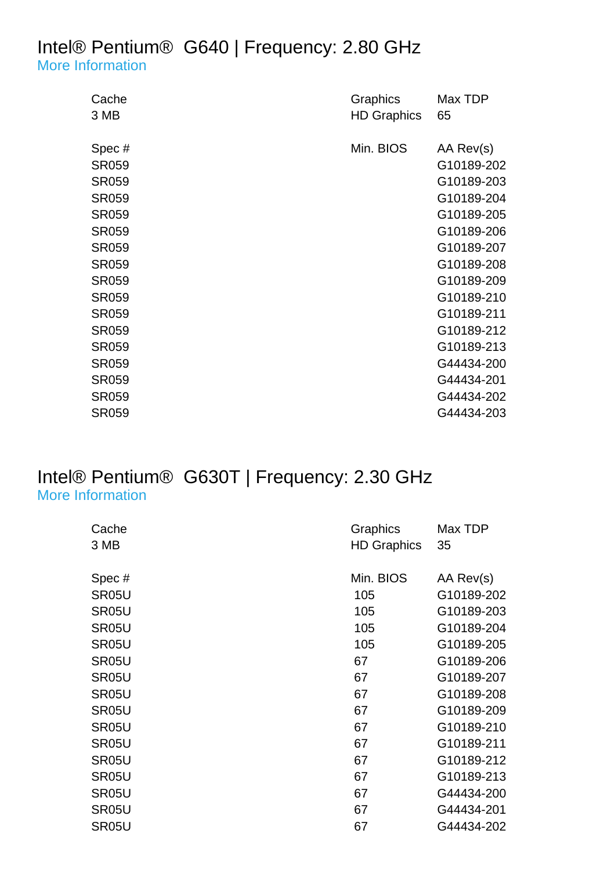### Intel® Pentium® G640 | Frequency: 2.80 GHz

[More Information](http://ark.intel.com/Product.aspx?spec=SR059)

| Cache<br>3 MB | Graphics<br><b>HD Graphics</b> | Max TDP<br>65 |
|---------------|--------------------------------|---------------|
|               |                                |               |
| Spec#         | Min. BIOS                      | AA Rev(s)     |
| <b>SR059</b>  |                                | G10189-202    |
| <b>SR059</b>  |                                | G10189-203    |
| <b>SR059</b>  |                                | G10189-204    |
| <b>SR059</b>  |                                | G10189-205    |
| <b>SR059</b>  |                                | G10189-206    |
| <b>SR059</b>  |                                | G10189-207    |
| <b>SR059</b>  |                                | G10189-208    |
| <b>SR059</b>  |                                | G10189-209    |
| <b>SR059</b>  |                                | G10189-210    |
| <b>SR059</b>  |                                | G10189-211    |
| <b>SR059</b>  |                                | G10189-212    |
| <b>SR059</b>  |                                | G10189-213    |
| <b>SR059</b>  |                                | G44434-200    |
| <b>SR059</b>  |                                | G44434-201    |
| <b>SR059</b>  |                                | G44434-202    |
| <b>SR059</b>  |                                | G44434-203    |

#### Intel® Pentium® G630T | Frequency: 2.30 GHz [More Information](http://ark.intel.com/Product.aspx?spec=SR05U)

| Cache              | Graphics           | Max TDP    |
|--------------------|--------------------|------------|
| 3 MB               | <b>HD Graphics</b> | 35         |
|                    |                    |            |
| Spec#              | Min. BIOS          | AA Rev(s)  |
| SR05U              | 105                | G10189-202 |
| SR <sub>05</sub> U | 105                | G10189-203 |
| SR05U              | 105                | G10189-204 |
| SR05U              | 105                | G10189-205 |
| SR05U              | 67                 | G10189-206 |
| SR05U              | 67                 | G10189-207 |
| SR05U              | 67                 | G10189-208 |
| SR05U              | 67                 | G10189-209 |
| SR05U              | 67                 | G10189-210 |
| SR05U              | 67                 | G10189-211 |
| SR <sub>05</sub> U | 67                 | G10189-212 |
| SR05U              | 67                 | G10189-213 |
| SR <sub>05</sub> U | 67                 | G44434-200 |
| SR <sub>05</sub> U | 67                 | G44434-201 |
| SR05U              | 67                 | G44434-202 |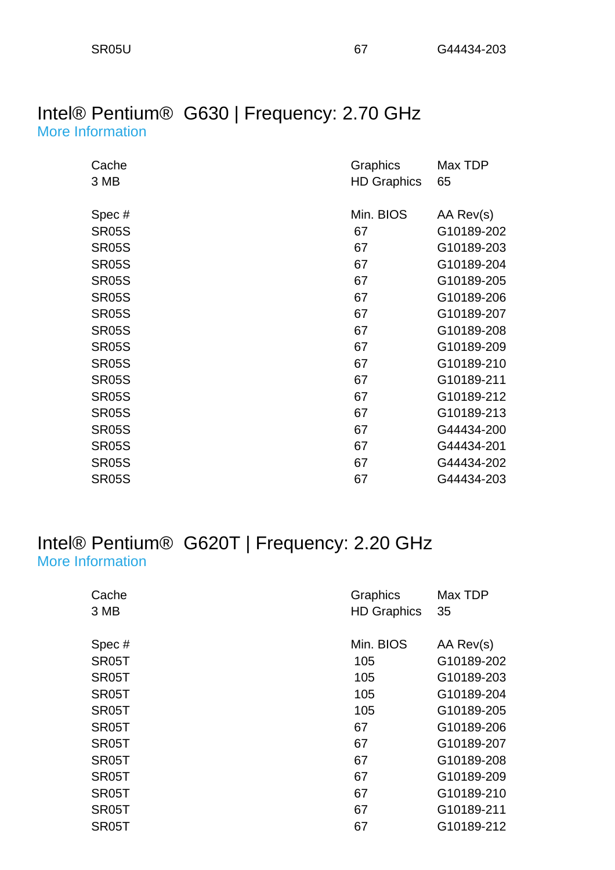#### Intel® Pentium® G630 | Frequency: 2.70 GHz [More Information](http://ark.intel.com/Product.aspx?spec=SR05S)

| Cache        | Graphics           | Max TDP    |
|--------------|--------------------|------------|
| 3 MB         | <b>HD Graphics</b> | 65         |
|              |                    |            |
| Spec#        | Min. BIOS          | AA Rev(s)  |
| <b>SR05S</b> | 67                 | G10189-202 |
| <b>SR05S</b> | 67                 | G10189-203 |
| <b>SR05S</b> | 67                 | G10189-204 |
| <b>SR05S</b> | 67                 | G10189-205 |
| <b>SR05S</b> | 67                 | G10189-206 |
| <b>SR05S</b> | 67                 | G10189-207 |
| <b>SR05S</b> | 67                 | G10189-208 |
| <b>SR05S</b> | 67                 | G10189-209 |
| <b>SR05S</b> | 67                 | G10189-210 |
| <b>SR05S</b> | 67                 | G10189-211 |
| <b>SR05S</b> | 67                 | G10189-212 |
| <b>SR05S</b> | 67                 | G10189-213 |
| <b>SR05S</b> | 67                 | G44434-200 |
| <b>SR05S</b> | 67                 | G44434-201 |
| <b>SR05S</b> | 67                 | G44434-202 |
| <b>SR05S</b> | 67                 | G44434-203 |

#### Intel® Pentium® G620T | Frequency: 2.20 GHz [More Information](http://ark.intel.com/Product.aspx?spec=SR05T)

| Cache<br>3 MB      | Graphics<br><b>HD Graphics</b> | Max TDP<br>35 |
|--------------------|--------------------------------|---------------|
|                    |                                |               |
| Spec#              | Min. BIOS                      | AA Rev(s)     |
| SR <sub>05</sub> T | 105                            | G10189-202    |
| SR <sub>05</sub> T | 105                            | G10189-203    |
| SR <sub>05</sub> T | 105                            | G10189-204    |
| SR <sub>05</sub> T | 105                            | G10189-205    |
| SR <sub>05</sub> T | 67                             | G10189-206    |
| SR <sub>05</sub> T | 67                             | G10189-207    |
| SR <sub>05</sub> T | 67                             | G10189-208    |
| SR <sub>05</sub> T | 67                             | G10189-209    |
| SR <sub>05</sub> T | 67                             | G10189-210    |
| SR <sub>05</sub> T | 67                             | G10189-211    |
| SR <sub>05</sub> T | 67                             | G10189-212    |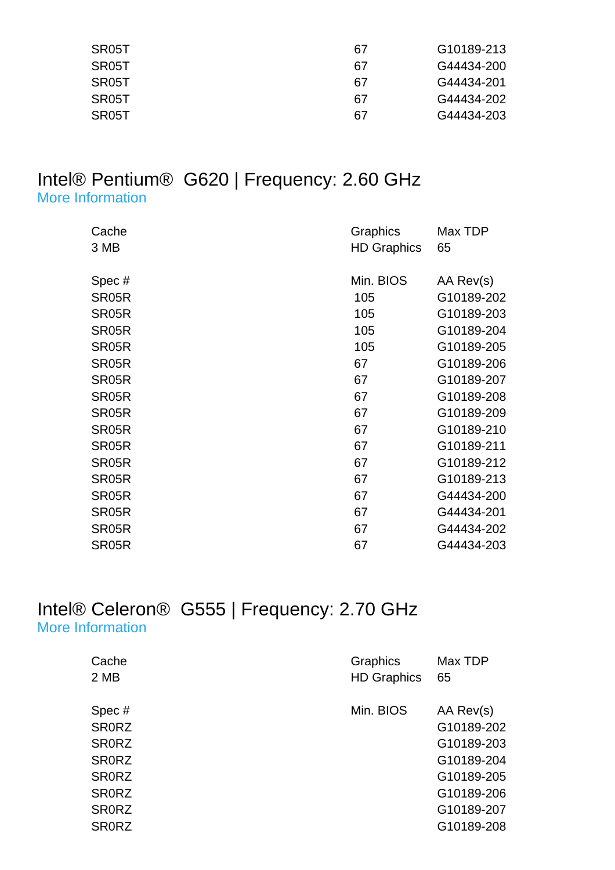| SR05T | 67 | G10189-213 |
|-------|----|------------|
| SR05T | 67 | G44434-200 |
| SR05T | 67 | G44434-201 |
| SR05T | 67 | G44434-202 |
| SR05T | 67 | G44434-203 |

#### Intel® Pentium® G620 | Frequency: 2.60 GHz [More Information](http://ark.intel.com/Product.aspx?spec=SR05R)

| Cache              | Graphics           | Max TDP    |
|--------------------|--------------------|------------|
| 3 MB               | <b>HD Graphics</b> | 65         |
|                    |                    |            |
| Spec#              | Min. BIOS          | AA Rev(s)  |
| SR05R              | 105                | G10189-202 |
| SR05R              | 105                | G10189-203 |
| SR05R              | 105                | G10189-204 |
| SR05R              | 105                | G10189-205 |
| SR05R              | 67                 | G10189-206 |
| SR <sub>05</sub> R | 67                 | G10189-207 |
| SR05R              | 67                 | G10189-208 |
| SR05R              | 67                 | G10189-209 |
| SR05R              | 67                 | G10189-210 |
| SR05R              | 67                 | G10189-211 |
| SR05R              | 67                 | G10189-212 |
| SR05R              | 67                 | G10189-213 |
| SR05R              | 67                 | G44434-200 |
| SR05R              | 67                 | G44434-201 |
| SR05R              | 67                 | G44434-202 |
| SR05R              | 67                 | G44434-203 |

#### Intel® Celeron® G555 | Frequency: 2.70 GHz [More Information](http://ark.intel.com/Product.aspx?spec=SR0RZ)

| Cache        | Graphics           | Max TDP    |
|--------------|--------------------|------------|
| 2 MB         | <b>HD Graphics</b> | 65         |
|              |                    |            |
| Spec#        | Min. BIOS          | AA Rev(s)  |
| <b>SRORZ</b> |                    | G10189-202 |
| <b>SRORZ</b> |                    | G10189-203 |
| <b>SRORZ</b> |                    | G10189-204 |
| <b>SRORZ</b> |                    | G10189-205 |
| <b>SRORZ</b> |                    | G10189-206 |
| <b>SRORZ</b> |                    | G10189-207 |
| <b>SR0RZ</b> |                    | G10189-208 |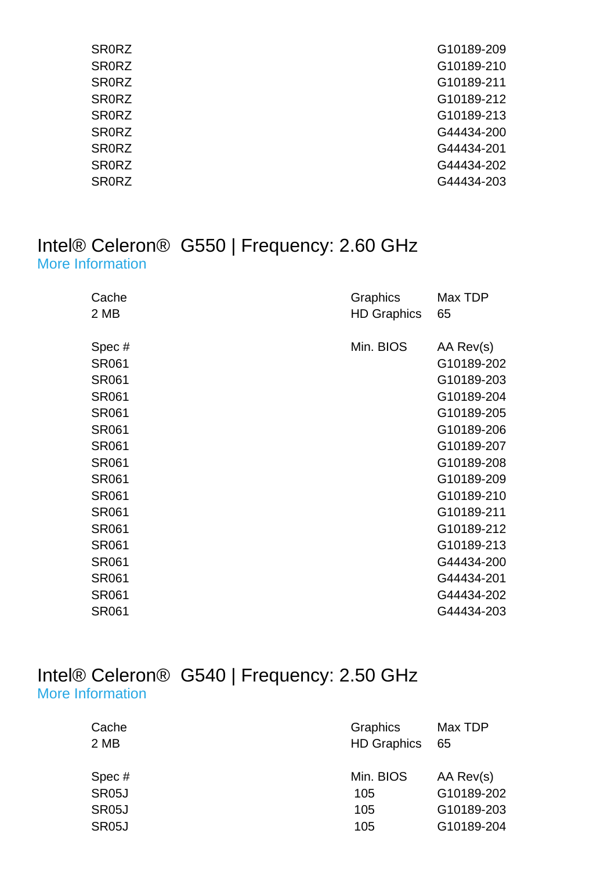| <b>SRORZ</b> | G10189-209 |
|--------------|------------|
| <b>SRORZ</b> | G10189-210 |
| <b>SRORZ</b> | G10189-211 |
| <b>SRORZ</b> | G10189-212 |
| <b>SRORZ</b> | G10189-213 |
| <b>SRORZ</b> | G44434-200 |
| <b>SRORZ</b> | G44434-201 |
| <b>SRORZ</b> | G44434-202 |
| <b>SRORZ</b> | G44434-203 |
|              |            |

#### Intel® Celeron® G550 | Frequency: 2.60 GHz [More Information](http://ark.intel.com/Product.aspx?spec=SR061)

| Cache<br>2 MB                                                                                                                                                                                                                                         | Graphics<br><b>HD Graphics</b> | Max TDP<br>65                                                                                                                                                                                                               |
|-------------------------------------------------------------------------------------------------------------------------------------------------------------------------------------------------------------------------------------------------------|--------------------------------|-----------------------------------------------------------------------------------------------------------------------------------------------------------------------------------------------------------------------------|
| Spec#<br><b>SR061</b><br><b>SR061</b><br><b>SR061</b><br><b>SR061</b><br><b>SR061</b><br><b>SR061</b><br><b>SR061</b><br><b>SR061</b><br><b>SR061</b><br><b>SR061</b><br><b>SR061</b><br><b>SR061</b><br><b>SR061</b><br><b>SR061</b><br><b>SR061</b> | Min. BIOS                      | AA Rev(s)<br>G10189-202<br>G10189-203<br>G10189-204<br>G10189-205<br>G10189-206<br>G10189-207<br>G10189-208<br>G10189-209<br>G10189-210<br>G10189-211<br>G10189-212<br>G10189-213<br>G44434-200<br>G44434-201<br>G44434-202 |
| <b>SR061</b>                                                                                                                                                                                                                                          |                                | G44434-203                                                                                                                                                                                                                  |

#### Intel® Celeron® G540 | Frequency: 2.50 GHz [More Information](http://ark.intel.com/Product.aspx?spec=SR05J)

| Cache<br>2 MB      | Graphics<br><b>HD Graphics</b> | Max TDP<br>65 |
|--------------------|--------------------------------|---------------|
| Spec#              | Min. BIOS                      | AA Rev(s)     |
| SR <sub>05</sub> J | 105                            | G10189-202    |
| SR05J              | 105                            | G10189-203    |
| SR <sub>05</sub> J | 105                            | G10189-204    |
|                    |                                |               |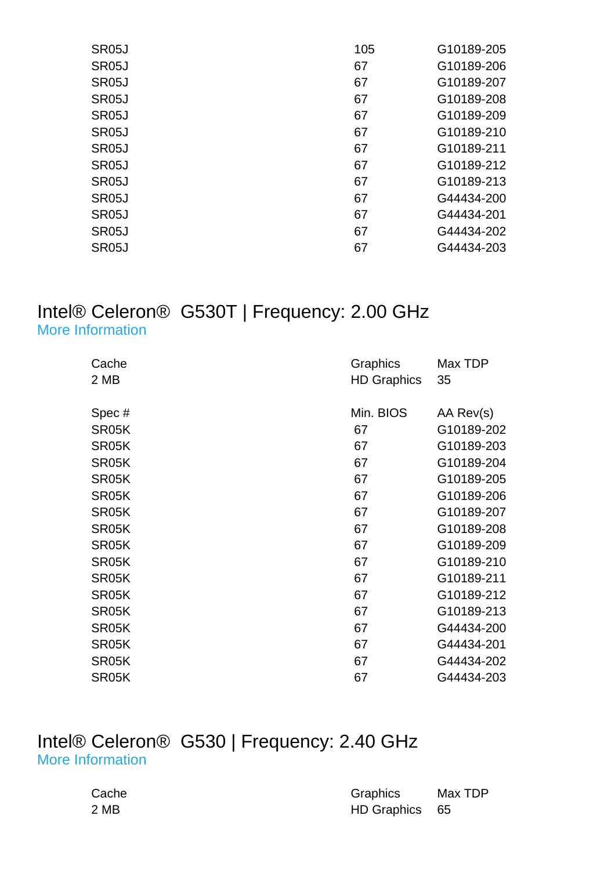| 105 | G10189-205 |
|-----|------------|
| 67  | G10189-206 |
| 67  | G10189-207 |
| 67  | G10189-208 |
| 67  | G10189-209 |
| 67  | G10189-210 |
| 67  | G10189-211 |
| 67  | G10189-212 |
| 67  | G10189-213 |
| 67  | G44434-200 |
| 67  | G44434-201 |
| 67  | G44434-202 |
| 67  | G44434-203 |
|     |            |

#### Intel® Celeron® G530T | Frequency: 2.00 GHz [More Information](http://ark.intel.com/Product.aspx?spec=SR05K)

| Cache              | Graphics           | Max TDP    |
|--------------------|--------------------|------------|
| 2 MB               | <b>HD Graphics</b> | 35         |
|                    |                    |            |
| Spec#              | Min. BIOS          | AA Rev(s)  |
| SR05K              | 67                 | G10189-202 |
| SR05K              | 67                 | G10189-203 |
| SR05K              | 67                 | G10189-204 |
| SR05K              | 67                 | G10189-205 |
| SR05K              | 67                 | G10189-206 |
| SR05K              | 67                 | G10189-207 |
| SR05K              | 67                 | G10189-208 |
| SR05K              | 67                 | G10189-209 |
| SR05K              | 67                 | G10189-210 |
| SR05K              | 67                 | G10189-211 |
| SR05K              | 67                 | G10189-212 |
| SR05K              | 67                 | G10189-213 |
| SR05K              | 67                 | G44434-200 |
| SR05K              | 67                 | G44434-201 |
| SR05K              | 67                 | G44434-202 |
| SR <sub>05</sub> K | 67                 | G44434-203 |

#### Intel® Celeron® G530 | Frequency: 2.40 GHz [More Information](http://ark.intel.com/Product.aspx?spec=SR05H)

| Cache | Graphics       | Max TDP |
|-------|----------------|---------|
| 2 MB  | HD Graphics 65 |         |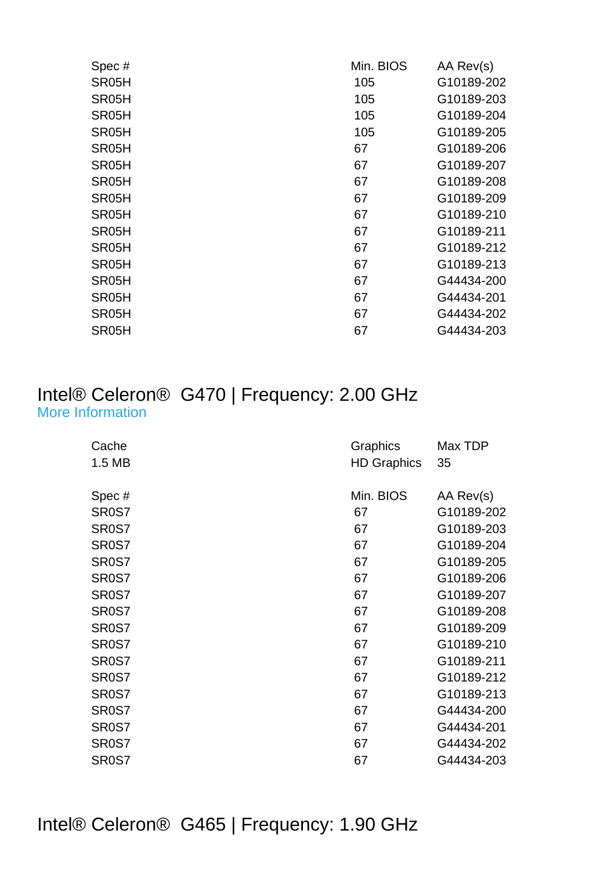| Min. BIOS | AA Rev(s)  |
|-----------|------------|
| 105       | G10189-202 |
| 105       | G10189-203 |
| 105       | G10189-204 |
| 105       | G10189-205 |
| 67        | G10189-206 |
| 67        | G10189-207 |
| 67        | G10189-208 |
| 67        | G10189-209 |
| 67        | G10189-210 |
| 67        | G10189-211 |
| 67        | G10189-212 |
| 67        | G10189-213 |
| 67        | G44434-200 |
| 67        | G44434-201 |
| 67        | G44434-202 |
| 67        | G44434-203 |
|           |            |

#### Intel® Celeron® G470 | Frequency: 2.00 GHz [More Information](http://ark.intel.com/Product.aspx?spec=SR0S7)

| Cache              | Graphics           | Max TDP    |
|--------------------|--------------------|------------|
| 1.5 MB             | <b>HD Graphics</b> | 35         |
|                    |                    |            |
| Spec#              | Min. BIOS          | AA Rev(s)  |
| SR <sub>0</sub> S7 | 67                 | G10189-202 |
| SR <sub>0</sub> S7 | 67                 | G10189-203 |
| SR <sub>0</sub> S7 | 67                 | G10189-204 |
| SR <sub>0</sub> S7 | 67                 | G10189-205 |
| SR <sub>0</sub> S7 | 67                 | G10189-206 |
| SR <sub>0</sub> S7 | 67                 | G10189-207 |
| SR <sub>0</sub> S7 | 67                 | G10189-208 |
| SR <sub>0</sub> S7 | 67                 | G10189-209 |
| SR <sub>0</sub> S7 | 67                 | G10189-210 |
| SR <sub>0</sub> S7 | 67                 | G10189-211 |
| SR <sub>0</sub> S7 | 67                 | G10189-212 |
| SR <sub>0</sub> S7 | 67                 | G10189-213 |
| SR <sub>0</sub> S7 | 67                 | G44434-200 |
| SR <sub>0</sub> S7 | 67                 | G44434-201 |
| SR <sub>0</sub> S7 | 67                 | G44434-202 |
| SR <sub>0</sub> S7 | 67                 | G44434-203 |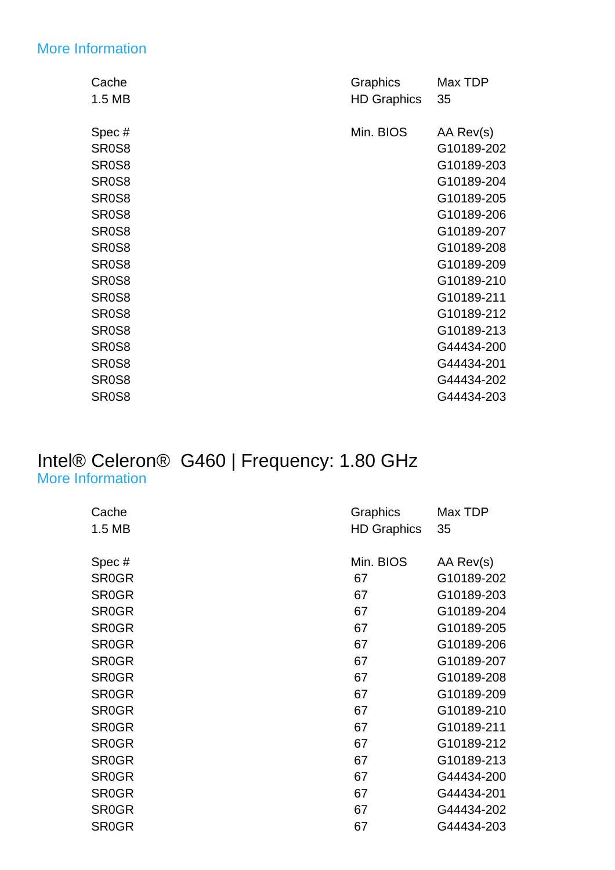#### [More Information](http://ark.intel.com/Product.aspx?spec=SR0S8)

| Cache                          | Graphics           | Max TDP    |
|--------------------------------|--------------------|------------|
| 1.5 MB                         | <b>HD Graphics</b> | 35         |
|                                |                    |            |
| Spec#                          | Min. BIOS          | AA Rev(s)  |
| SR <sub>0</sub> S8             |                    | G10189-202 |
| SR <sub>0</sub> S8             |                    | G10189-203 |
| SR <sub>0</sub> S8             |                    | G10189-204 |
| SR <sub>0</sub> S8             |                    | G10189-205 |
| SR <sub>0</sub> S <sub>8</sub> |                    | G10189-206 |
| SR <sub>0</sub> S8             |                    | G10189-207 |
| SR <sub>0</sub> S8             |                    | G10189-208 |
| SR <sub>0</sub> S <sub>8</sub> |                    | G10189-209 |
| SR <sub>0</sub> S8             |                    | G10189-210 |
| SR <sub>0</sub> S <sub>8</sub> |                    | G10189-211 |
| SR <sub>0</sub> S <sub>8</sub> |                    | G10189-212 |
| SR <sub>0</sub> S8             |                    | G10189-213 |
| SR <sub>0</sub> S <sub>8</sub> |                    | G44434-200 |
| SR <sub>0</sub> S <sub>8</sub> |                    | G44434-201 |
| SR <sub>0</sub> S <sub>8</sub> |                    | G44434-202 |
| SR <sub>0</sub> S <sub>8</sub> |                    | G44434-203 |

#### Intel® Celeron® G460 | Frequency: 1.80 GHz [More Information](http://ark.intel.com/Product.aspx?spec=SR0GR)

| Cache        | Graphics           | Max TDP    |
|--------------|--------------------|------------|
| 1.5 MB       | <b>HD Graphics</b> | 35         |
|              |                    |            |
| Spec#        | Min. BIOS          | AA Rev(s)  |
| <b>SR0GR</b> | 67                 | G10189-202 |
| <b>SR0GR</b> | 67                 | G10189-203 |
| <b>SR0GR</b> | 67                 | G10189-204 |
| <b>SR0GR</b> | 67                 | G10189-205 |
| <b>SR0GR</b> | 67                 | G10189-206 |
| <b>SR0GR</b> | 67                 | G10189-207 |
| <b>SR0GR</b> | 67                 | G10189-208 |
| <b>SR0GR</b> | 67                 | G10189-209 |
| <b>SR0GR</b> | 67                 | G10189-210 |
| <b>SR0GR</b> | 67                 | G10189-211 |
| <b>SR0GR</b> | 67                 | G10189-212 |
| <b>SR0GR</b> | 67                 | G10189-213 |
| <b>SR0GR</b> | 67                 | G44434-200 |
| <b>SR0GR</b> | 67                 | G44434-201 |
| <b>SR0GR</b> | 67                 | G44434-202 |
| <b>SR0GR</b> | 67                 | G44434-203 |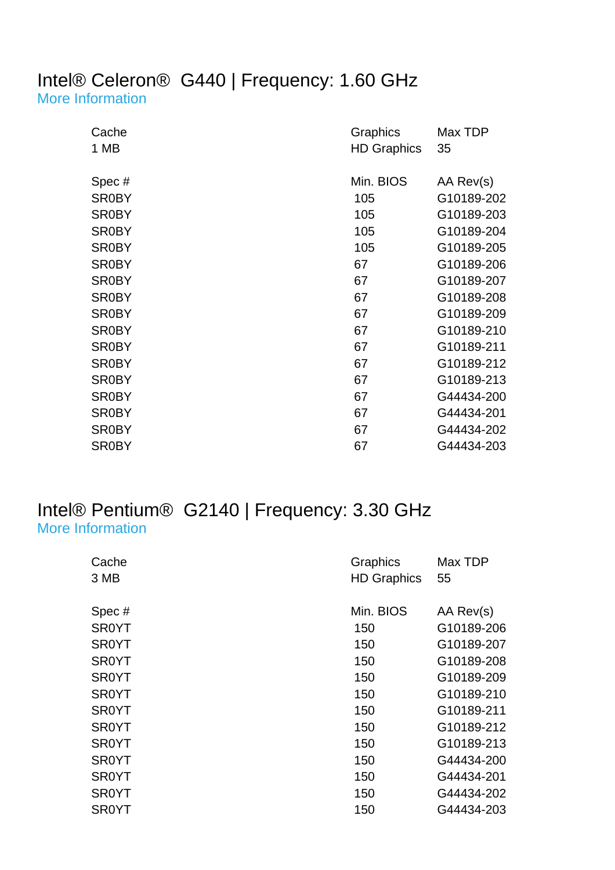### Intel® Celeron® G440 | Frequency: 1.60 GHz

[More Information](http://ark.intel.com/Product.aspx?spec=SR0BY)

| Cache        | Graphics           | Max TDP    |
|--------------|--------------------|------------|
| 1 MB         | <b>HD Graphics</b> | 35         |
|              |                    |            |
| Spec#        | Min. BIOS          | AA Rev(s)  |
| <b>SR0BY</b> | 105                | G10189-202 |
| <b>SR0BY</b> | 105                | G10189-203 |
| <b>SR0BY</b> | 105                | G10189-204 |
| <b>SR0BY</b> | 105                | G10189-205 |
| <b>SR0BY</b> | 67                 | G10189-206 |
| <b>SR0BY</b> | 67                 | G10189-207 |
| <b>SR0BY</b> | 67                 | G10189-208 |
| <b>SR0BY</b> | 67                 | G10189-209 |
| <b>SR0BY</b> | 67                 | G10189-210 |
| <b>SR0BY</b> | 67                 | G10189-211 |
| <b>SR0BY</b> | 67                 | G10189-212 |
| <b>SR0BY</b> | 67                 | G10189-213 |
| <b>SR0BY</b> | 67                 | G44434-200 |
| <b>SR0BY</b> | 67                 | G44434-201 |
| <b>SR0BY</b> | 67                 | G44434-202 |
| <b>SR0BY</b> | 67                 | G44434-203 |

#### Intel® Pentium® G2140 | Frequency: 3.30 GHz [More Information](http://ark.intel.com/Product.aspx?spec=SR0YT)

| Cache        | Graphics           | Max TDP    |
|--------------|--------------------|------------|
| 3 MB         | <b>HD Graphics</b> | 55         |
|              |                    |            |
| Spec#        | Min. BIOS          | AA Rev(s)  |
| <b>SR0YT</b> | 150                | G10189-206 |
| <b>SR0YT</b> | 150                | G10189-207 |
| <b>SR0YT</b> | 150                | G10189-208 |
| <b>SR0YT</b> | 150                | G10189-209 |
| <b>SR0YT</b> | 150                | G10189-210 |
| <b>SR0YT</b> | 150                | G10189-211 |
| <b>SR0YT</b> | 150                | G10189-212 |
| <b>SR0YT</b> | 150                | G10189-213 |
| SR0YT        | 150                | G44434-200 |
| <b>SR0YT</b> | 150                | G44434-201 |
| <b>SR0YT</b> | 150                | G44434-202 |
| SR0YT        | 150                | G44434-203 |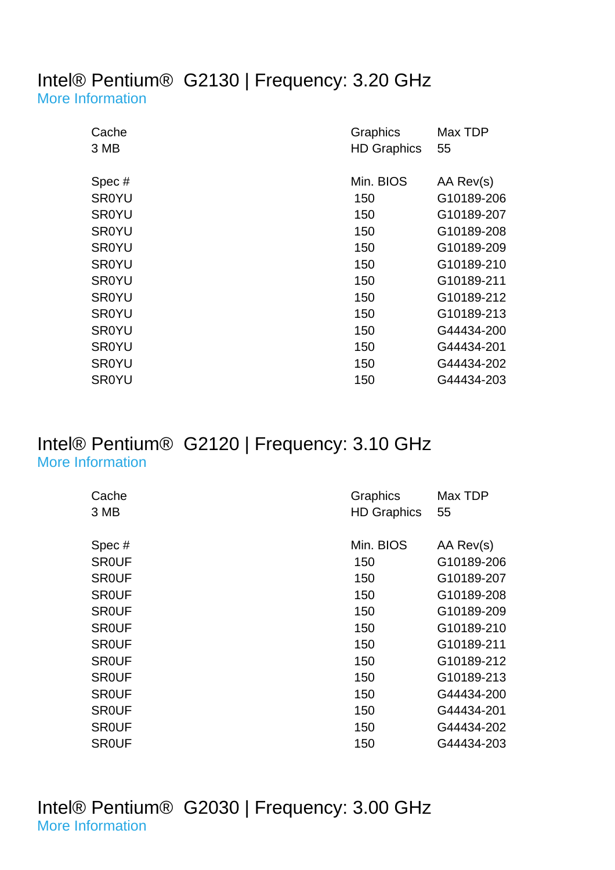#### Intel® Pentium® G2130 | Frequency: 3.20 GHz [More Information](http://ark.intel.com/Product.aspx?spec=SR0YU)

| Cache<br>3 MB | Graphics<br><b>HD Graphics</b> | Max TDP<br>55 |
|---------------|--------------------------------|---------------|
|               |                                |               |
| Spec#         | Min. BIOS                      | AA Rev(s)     |
| <b>SR0YU</b>  | 150                            | G10189-206    |
| <b>SR0YU</b>  | 150                            | G10189-207    |
| <b>SR0YU</b>  | 150                            | G10189-208    |
| <b>SR0YU</b>  | 150                            | G10189-209    |
| <b>SR0YU</b>  | 150                            | G10189-210    |
| <b>SR0YU</b>  | 150                            | G10189-211    |
| <b>SR0YU</b>  | 150                            | G10189-212    |
| <b>SR0YU</b>  | 150                            | G10189-213    |
| <b>SR0YU</b>  | 150                            | G44434-200    |
| <b>SR0YU</b>  | 150                            | G44434-201    |
| <b>SR0YU</b>  | 150                            | G44434-202    |
| <b>SR0YU</b>  | 150                            | G44434-203    |

#### Intel® Pentium® G2120 | Frequency: 3.10 GHz [More Information](http://ark.intel.com/Product.aspx?spec=SR0UF)

| Cache        | Graphics           | Max TDP    |
|--------------|--------------------|------------|
| 3 MB         | <b>HD Graphics</b> | 55         |
| Spec#        | Min. BIOS          | AA Rev(s)  |
|              |                    |            |
| <b>SROUF</b> | 150                | G10189-206 |
| <b>SROUF</b> | 150                | G10189-207 |
| <b>SROUF</b> | 150                | G10189-208 |
| <b>SROUF</b> | 150                | G10189-209 |
| <b>SROUF</b> | 150                | G10189-210 |
| <b>SROUF</b> | 150                | G10189-211 |
| <b>SROUF</b> | 150                | G10189-212 |
| <b>SROUF</b> | 150                | G10189-213 |
| <b>SROUF</b> | 150                | G44434-200 |
| <b>SROUF</b> | 150                | G44434-201 |
| <b>SROUF</b> | 150                | G44434-202 |
| <b>SROUF</b> | 150                | G44434-203 |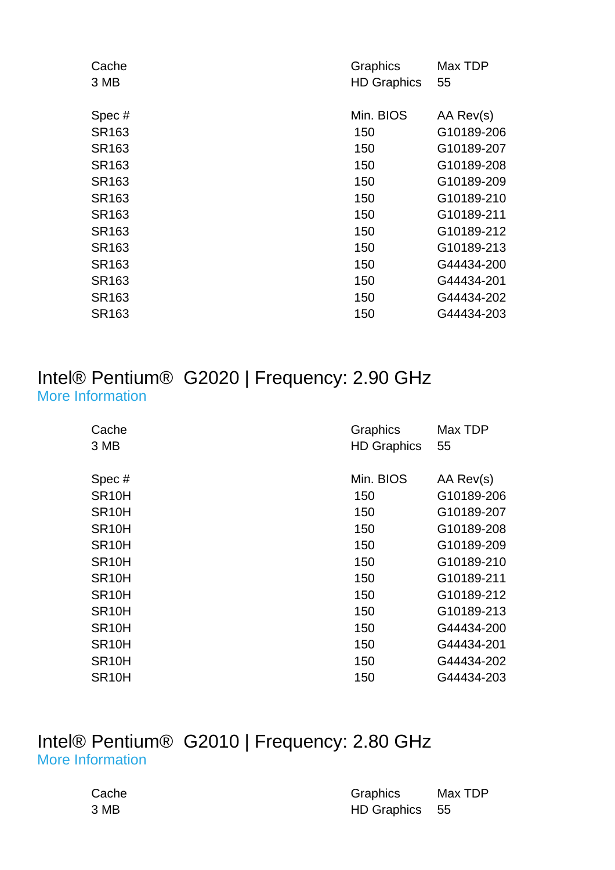| Cache | Graphics           | Max TDP    |
|-------|--------------------|------------|
| 3 MB  | <b>HD Graphics</b> | 55         |
|       |                    |            |
| Spec# | Min. BIOS          | AA Rev(s)  |
| SR163 | 150                | G10189-206 |
| SR163 | 150                | G10189-207 |
| SR163 | 150                | G10189-208 |
| SR163 | 150                | G10189-209 |
| SR163 | 150                | G10189-210 |
| SR163 | 150                | G10189-211 |
| SR163 | 150                | G10189-212 |
| SR163 | 150                | G10189-213 |
| SR163 | 150                | G44434-200 |
| SR163 | 150                | G44434-201 |
| SR163 | 150                | G44434-202 |
| SR163 | 150                | G44434-203 |
|       |                    |            |

#### Intel® Pentium® G2020 | Frequency: 2.90 GHz [More Information](http://ark.intel.com/Product.aspx?spec=SR10H)

| Cache              | Graphics           | Max TDP    |
|--------------------|--------------------|------------|
| 3 MB               | <b>HD Graphics</b> | 55         |
| Spec#              | Min. BIOS          | AA Rev(s)  |
|                    |                    |            |
| SR <sub>10</sub> H | 150                | G10189-206 |
| SR <sub>10</sub> H | 150                | G10189-207 |
| SR <sub>10</sub> H | 150                | G10189-208 |
| SR <sub>10</sub> H | 150                | G10189-209 |
| SR <sub>10</sub> H | 150                | G10189-210 |
| SR <sub>10</sub> H | 150                | G10189-211 |
| SR <sub>10</sub> H | 150                | G10189-212 |
| SR <sub>10</sub> H | 150                | G10189-213 |
| SR <sub>10</sub> H | 150                | G44434-200 |
| SR <sub>10</sub> H | 150                | G44434-201 |
| SR <sub>10</sub> H | 150                | G44434-202 |
| SR <sub>10</sub> H | 150                | G44434-203 |

#### Intel® Pentium® G2010 | Frequency: 2.80 GHz [More Information](http://ark.intel.com/Product.aspx?spec=SR10J)

| Cache | Graphics       | Max TDP |
|-------|----------------|---------|
| 3 MB  | HD Graphics 55 |         |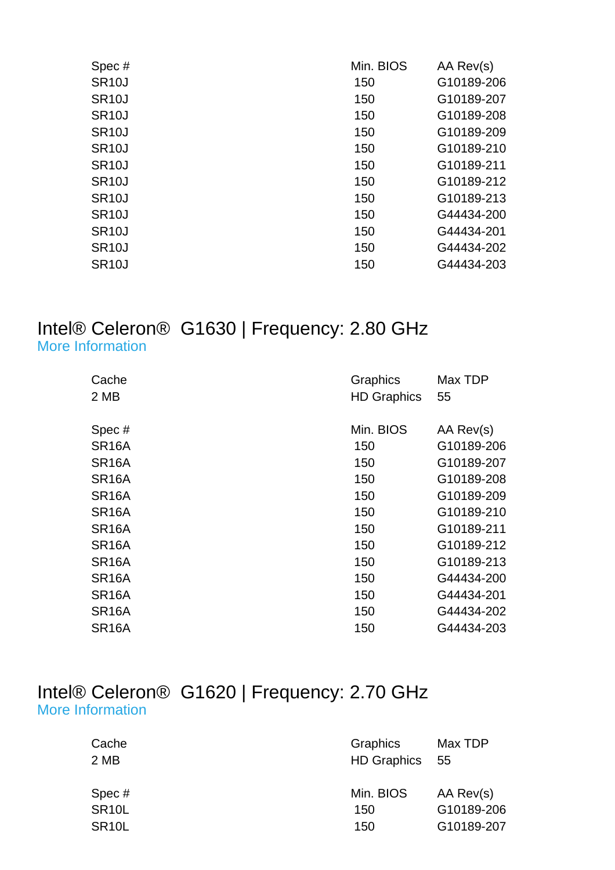| Spec#              | Min. BIOS | AA Rev(s)  |
|--------------------|-----------|------------|
| <b>SR10J</b>       | 150       | G10189-206 |
| SR <sub>10</sub> J | 150       | G10189-207 |
| SR <sub>10</sub> J | 150       | G10189-208 |
| SR <sub>10</sub> J | 150       | G10189-209 |
| SR <sub>10</sub> J | 150       | G10189-210 |
| SR <sub>10</sub> J | 150       | G10189-211 |
| <b>SR10J</b>       | 150       | G10189-212 |
| <b>SR10J</b>       | 150       | G10189-213 |
| <b>SR10J</b>       | 150       | G44434-200 |
| SR <sub>10</sub> J | 150       | G44434-201 |
| <b>SR10J</b>       | 150       | G44434-202 |
| SR <sub>10</sub> J | 150       | G44434-203 |
|                    |           |            |

#### Intel® Celeron® G1630 | Frequency: 2.80 GHz [More Information](http://ark.intel.com/Product.aspx?spec=SR16A)

| Cache              | Graphics           | Max TDP    |
|--------------------|--------------------|------------|
| 2 MB               | <b>HD Graphics</b> | 55         |
|                    |                    |            |
| Spec#              | Min. BIOS          | AA Rev(s)  |
| SR <sub>16</sub> A | 150                | G10189-206 |
| SR <sub>16</sub> A | 150                | G10189-207 |
| SR <sub>16</sub> A | 150                | G10189-208 |
| SR <sub>16</sub> A | 150                | G10189-209 |
| SR <sub>16</sub> A | 150                | G10189-210 |
| SR <sub>16</sub> A | 150                | G10189-211 |
| SR <sub>16</sub> A | 150                | G10189-212 |
| SR <sub>16</sub> A | 150                | G10189-213 |
| SR <sub>16</sub> A | 150                | G44434-200 |
| SR <sub>16</sub> A | 150                | G44434-201 |
| SR <sub>16</sub> A | 150                | G44434-202 |
| SR <sub>16</sub> A | 150                | G44434-203 |

#### Intel® Celeron® G1620 | Frequency: 2.70 GHz [More Information](http://ark.intel.com/Product.aspx?spec=SR10L)

| Graphics<br>HD Graphics 55 | Max TDP                               |
|----------------------------|---------------------------------------|
| Min. BIOS<br>150<br>150    | AA Rev(s)<br>G10189-206<br>G10189-207 |
|                            |                                       |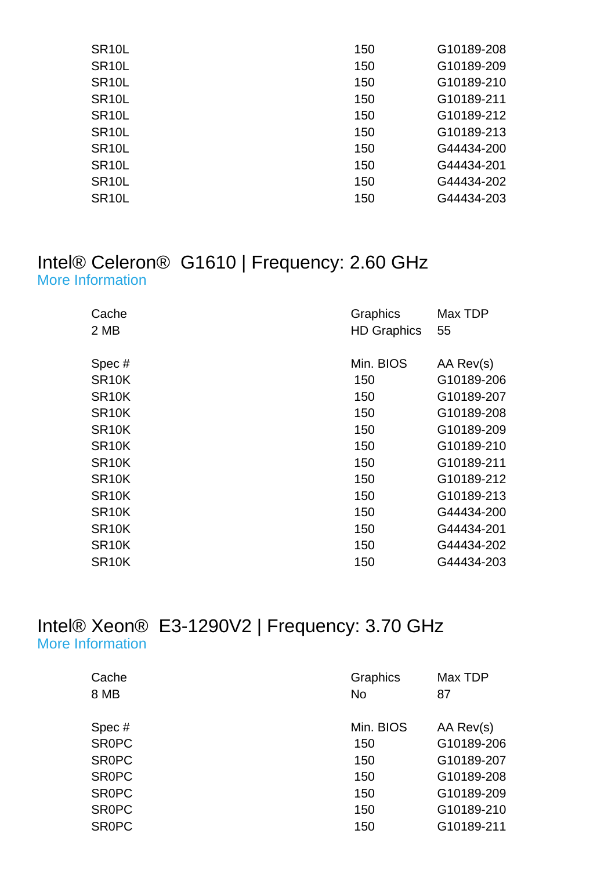| SR <sub>10</sub> L | 150 | G10189-208 |
|--------------------|-----|------------|
| SR <sub>10</sub> L | 150 | G10189-209 |
| SR <sub>10</sub> L | 150 | G10189-210 |
| SR <sub>10</sub> L | 150 | G10189-211 |
| SR <sub>10</sub> L | 150 | G10189-212 |
| SR <sub>10</sub> L | 150 | G10189-213 |
| SR <sub>10</sub> L | 150 | G44434-200 |
| SR <sub>10</sub> L | 150 | G44434-201 |
| SR <sub>10</sub> L | 150 | G44434-202 |
| SR <sub>10</sub> L | 150 | G44434-203 |
|                    |     |            |

#### Intel® Celeron® G1610 | Frequency: 2.60 GHz [More Information](http://ark.intel.com/Product.aspx?spec=SR10K)

| Cache<br>2 MB      | Graphics<br><b>HD Graphics</b> | Max TDP<br>55 |
|--------------------|--------------------------------|---------------|
| Spec#              | Min. BIOS                      | AA Rev(s)     |
| SR <sub>10</sub> K | 150                            | G10189-206    |
| SR <sub>10</sub> K | 150                            | G10189-207    |
| SR <sub>10</sub> K | 150                            | G10189-208    |
| SR <sub>10</sub> K | 150                            | G10189-209    |
| SR <sub>10</sub> K | 150                            | G10189-210    |
| SR <sub>10</sub> K | 150                            | G10189-211    |
| SR <sub>10</sub> K | 150                            | G10189-212    |
| SR <sub>10</sub> K | 150                            | G10189-213    |
| SR <sub>10</sub> K | 150                            | G44434-200    |
| SR <sub>10</sub> K | 150                            | G44434-201    |
| SR <sub>10</sub> K | 150                            | G44434-202    |
| SR <sub>10</sub> K | 150                            | G44434-203    |

#### Intel® Xeon® E3-1290V2 | Frequency: 3.70 GHz [More Information](http://ark.intel.com/Product.aspx?spec=SR0PC)

| Cache        | Graphics  | Max TDP    |
|--------------|-----------|------------|
| 8 MB         | <b>No</b> | 87         |
| Spec#        | Min. BIOS | AA Rev(s)  |
| <b>SROPC</b> | 150       | G10189-206 |
| <b>SROPC</b> | 150       | G10189-207 |
| <b>SROPC</b> | 150       | G10189-208 |
| <b>SROPC</b> | 150       | G10189-209 |
| <b>SROPC</b> | 150       | G10189-210 |
| <b>SROPC</b> | 150       | G10189-211 |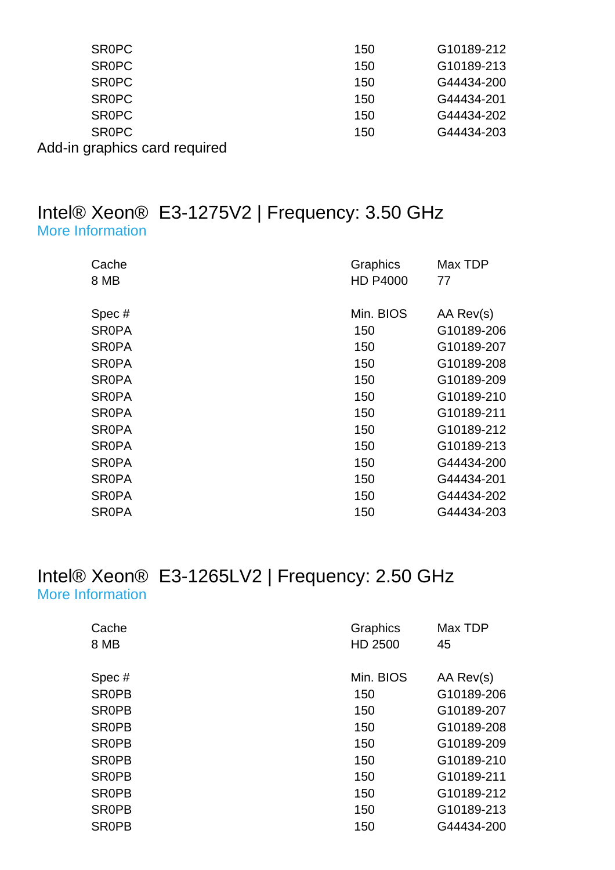| <b>SROPC</b>                  | 150 | G10189-212 |
|-------------------------------|-----|------------|
| <b>SROPC</b>                  | 150 | G10189-213 |
| <b>SROPC</b>                  | 150 | G44434-200 |
| <b>SROPC</b>                  | 150 | G44434-201 |
| <b>SROPC</b>                  | 150 | G44434-202 |
| <b>SROPC</b>                  | 150 | G44434-203 |
| Add-in graphics card required |     |            |

#### Intel® Xeon® E3-1275V2 | Frequency: 3.50 GHz [More Information](http://ark.intel.com/Product.aspx?spec=SR0PA)

| Cache<br>8 MB | Graphics<br><b>HD P4000</b> | Max TDP<br>77 |
|---------------|-----------------------------|---------------|
| Spec#         | Min. BIOS                   | AA Rev(s)     |
| <b>SROPA</b>  | 150                         | G10189-206    |
| <b>SROPA</b>  | 150                         | G10189-207    |
| <b>SROPA</b>  | 150                         | G10189-208    |
| <b>SROPA</b>  | 150                         | G10189-209    |
| <b>SROPA</b>  | 150                         | G10189-210    |
| <b>SROPA</b>  | 150                         | G10189-211    |
| <b>SROPA</b>  | 150                         | G10189-212    |
| <b>SROPA</b>  | 150                         | G10189-213    |
| <b>SROPA</b>  | 150                         | G44434-200    |
| <b>SROPA</b>  | 150                         | G44434-201    |
| <b>SROPA</b>  | 150                         | G44434-202    |
| <b>SROPA</b>  | 150                         | G44434-203    |

#### Intel® Xeon® E3-1265LV2 | Frequency: 2.50 GHz [More Information](http://ark.intel.com/Product.aspx?spec=SR0PB)

| Cache<br>8 MB         | Graphics<br>HD 2500 | Max TDP<br>45           |
|-----------------------|---------------------|-------------------------|
|                       | Min. BIOS           |                         |
| Spec#<br><b>SROPB</b> | 150                 | AA Rev(s)<br>G10189-206 |
|                       |                     |                         |
| <b>SROPB</b>          | 150                 | G10189-207              |
| <b>SROPB</b>          | 150                 | G10189-208              |
| <b>SROPB</b>          | 150                 | G10189-209              |
| <b>SROPB</b>          | 150                 | G10189-210              |
| <b>SROPB</b>          | 150                 | G10189-211              |
| <b>SROPB</b>          | 150                 | G10189-212              |
| <b>SROPB</b>          | 150                 | G10189-213              |
| <b>SROPB</b>          | 150                 | G44434-200              |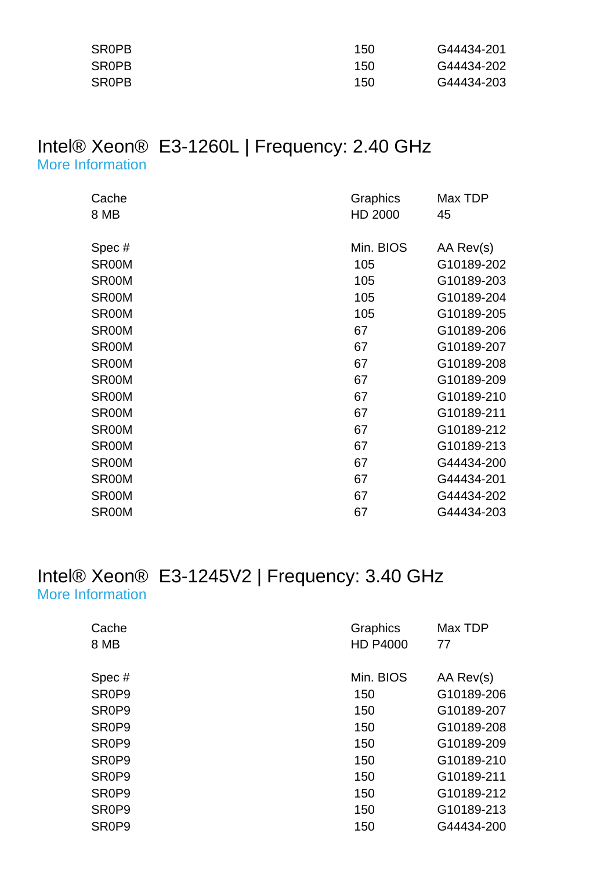| <b>SROPB</b> | 150 | G44434-201 |
|--------------|-----|------------|
| <b>SROPB</b> | 150 | G44434-202 |
| <b>SROPB</b> | 150 | G44434-203 |

#### Intel® Xeon® E3-1260L | Frequency: 2.40 GHz [More Information](http://ark.intel.com/Product.aspx?spec=SR00M)

| Cache | Graphics  | Max TDP    |
|-------|-----------|------------|
| 8 MB  | HD 2000   | 45         |
|       |           |            |
| Spec# | Min. BIOS | AA Rev(s)  |
| SR00M | 105       | G10189-202 |
| SR00M | 105       | G10189-203 |
| SR00M | 105       | G10189-204 |
| SR00M | 105       | G10189-205 |
| SR00M | 67        | G10189-206 |
| SR00M | 67        | G10189-207 |
| SR00M | 67        | G10189-208 |
| SR00M | 67        | G10189-209 |
| SR00M | 67        | G10189-210 |
| SR00M | 67        | G10189-211 |
| SR00M | 67        | G10189-212 |
| SR00M | 67        | G10189-213 |
| SR00M | 67        | G44434-200 |
| SR00M | 67        | G44434-201 |
| SR00M | 67        | G44434-202 |
| SR00M | 67        | G44434-203 |

#### Intel® Xeon® E3-1245V2 | Frequency: 3.40 GHz [More Information](http://ark.intel.com/Product.aspx?spec=SR0P9)

| Graphics        | Max TDP    |
|-----------------|------------|
| <b>HD P4000</b> | 77         |
| Min. BIOS       | AA Rev(s)  |
| 150             | G10189-206 |
| 150             | G10189-207 |
| 150             | G10189-208 |
| 150             | G10189-209 |
| 150             | G10189-210 |
| 150             | G10189-211 |
| 150             | G10189-212 |
| 150             | G10189-213 |
| 150             | G44434-200 |
|                 |            |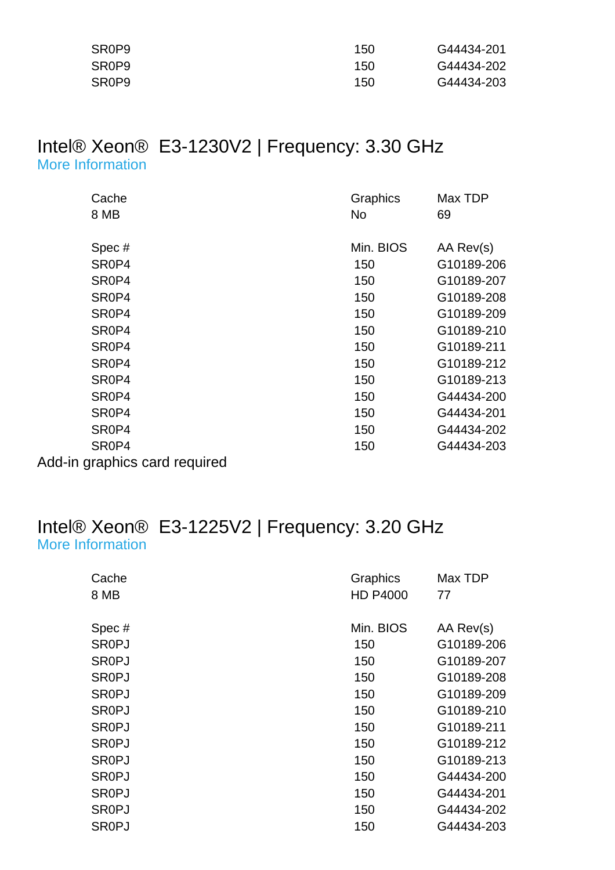| SR <sub>0</sub> P <sub>9</sub> | 150 | G44434-201 |
|--------------------------------|-----|------------|
| SR <sub>0</sub> P <sub>9</sub> | 150 | G44434-202 |
| SR <sub>0</sub> P <sub>9</sub> | 150 | G44434-203 |

#### Intel® Xeon® E3-1230V2 | Frequency: 3.30 GHz [More Information](http://ark.intel.com/Product.aspx?spec=SR0P4)

| Cache                         | Graphics  | Max TDP    |
|-------------------------------|-----------|------------|
| 8 MB                          | No.       | 69         |
|                               |           |            |
| Spec#                         | Min. BIOS | AA Rev(s)  |
| SR <sub>0</sub> P4            | 150       | G10189-206 |
| SR0P4                         | 150       | G10189-207 |
| SR <sub>0</sub> P4            | 150       | G10189-208 |
| SR <sub>0</sub> P4            | 150       | G10189-209 |
| SR <sub>0</sub> P4            | 150       | G10189-210 |
| SR0P4                         | 150       | G10189-211 |
| SR <sub>0</sub> P4            | 150       | G10189-212 |
| SR <sub>0</sub> P4            | 150       | G10189-213 |
| SR <sub>0</sub> P4            | 150       | G44434-200 |
| SR <sub>0</sub> P4            | 150       | G44434-201 |
| SR <sub>0</sub> P4            | 150       | G44434-202 |
| SR <sub>0</sub> P4            | 150       | G44434-203 |
| Add-in graphics card required |           |            |

#### Intel® Xeon® E3-1225V2 | Frequency: 3.20 GHz [More Information](http://ark.intel.com/Product.aspx?spec=SR0PJ)

| Cache        | Graphics        | Max TDP    |
|--------------|-----------------|------------|
| 8 MB         | <b>HD P4000</b> | 77         |
|              |                 |            |
| Spec#        | Min. BIOS       | AA Rev(s)  |
| <b>SROPJ</b> | 150             | G10189-206 |
| <b>SROPJ</b> | 150             | G10189-207 |
| <b>SROPJ</b> | 150             | G10189-208 |
| <b>SROPJ</b> | 150             | G10189-209 |
| <b>SROPJ</b> | 150             | G10189-210 |
| <b>SROPJ</b> | 150             | G10189-211 |
| <b>SROPJ</b> | 150             | G10189-212 |
| <b>SROPJ</b> | 150             | G10189-213 |
| <b>SROPJ</b> | 150             | G44434-200 |
| <b>SR0PJ</b> | 150             | G44434-201 |
| <b>SROPJ</b> | 150             | G44434-202 |
| SR0PJ        | 150             | G44434-203 |